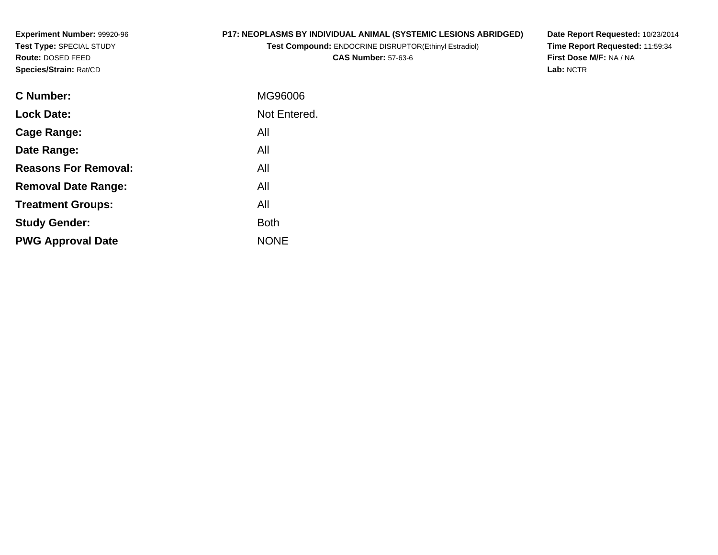**Experiment Number:** 99920-96**Test Type:** SPECIAL STUDY**Route:** DOSED FEED**Species/Strain:** Rat/CD

# **P17: NEOPLASMS BY INDIVIDUAL ANIMAL (SYSTEMIC LESIONS ABRIDGED)**

**Test Compound:** ENDOCRINE DISRUPTOR(Ethinyl Estradiol)**CAS Number:** 57-63-6

**Date Report Requested:** 10/23/2014 **Time Report Requested:** 11:59:34**First Dose M/F:** NA / NA**Lab:** NCTR

| <b>C Number:</b>            | MG96006      |
|-----------------------------|--------------|
| <b>Lock Date:</b>           | Not Entered. |
| Cage Range:                 | All          |
| Date Range:                 | All          |
| <b>Reasons For Removal:</b> | All          |
| <b>Removal Date Range:</b>  | All          |
| <b>Treatment Groups:</b>    | All          |
| <b>Study Gender:</b>        | <b>Both</b>  |
| <b>PWG Approval Date</b>    | <b>NONE</b>  |
|                             |              |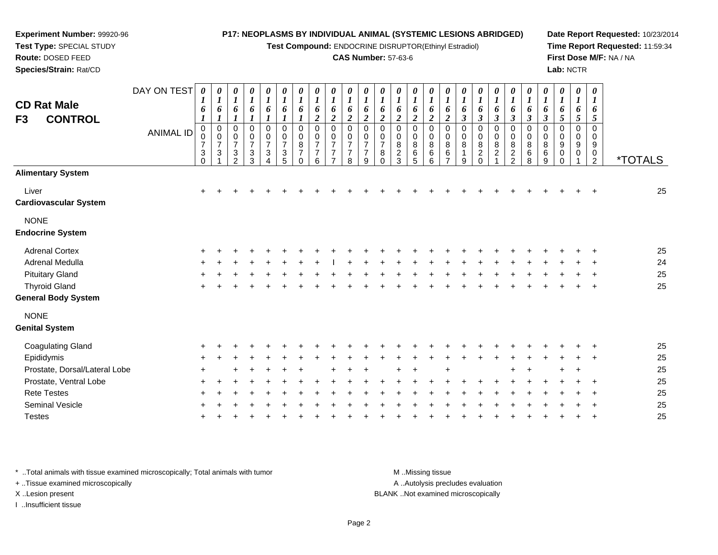**Test Compound:** ENDOCRINE DISRUPTOR(Ethinyl Estradiol)

#### **CAS Number:** 57-63-6

**Date Report Requested:** 10/23/2014**Time Report Requested:** 11:59:34**First Dose M/F:** NA / NA**Lab:** NCTR

| DAY ON TEST<br><b>ANIMAL ID</b> | $\boldsymbol{\theta}$<br>1<br>6<br>$\boldsymbol{l}$<br>$\boldsymbol{0}$<br>0<br>$\overline{7}$<br>3<br>$\overline{0}$ | $\boldsymbol{\theta}$<br>$\bm{l}$<br>6<br>$\boldsymbol{l}$<br>$\mathbf 0$<br>$\mathbf 0$<br>$\overline{7}$<br>$\sqrt{3}$ | 0<br>$\boldsymbol{I}$<br>6<br>$\boldsymbol{l}$<br>0<br>0<br>$\overline{7}$<br>3<br>$\mathcal{P}$ | $\pmb{\theta}$<br>$\boldsymbol{l}$<br>6<br>$\boldsymbol{l}$<br>$\mathbf 0$<br>$\pmb{0}$<br>$\boldsymbol{7}$<br>$\sqrt{3}$<br>$\sqrt{3}$ | 0<br>$\boldsymbol{l}$<br>6<br>1<br>$\mathbf 0$<br>0<br>$\overline{\mathbf{7}}$<br>3<br>4 | 0<br>$\boldsymbol{l}$<br>6<br>$\boldsymbol{l}$<br>$\mathbf 0$<br>$\boldsymbol{0}$<br>$\overline{7}$<br>$\ensuremath{\mathsf{3}}$<br>5 | 0<br>$\boldsymbol{l}$<br>6<br>0<br>$\mathbf 0$<br>8<br>$\overline{7}$<br>$\Omega$ | 0<br>$\boldsymbol{l}$<br>6<br>$\boldsymbol{2}$<br>0<br>0<br>$\overline{7}$<br>$\overline{7}$<br>6 | $\boldsymbol{\theta}$<br>$\boldsymbol{l}$<br>6<br>$\boldsymbol{2}$<br>$\mathbf 0$<br>$\mathbf 0$<br>$\overline{7}$<br>$\overline{7}$<br>$\overline{ }$ | 0<br>$\boldsymbol{l}$<br>6<br>$\boldsymbol{2}$<br>$\mathbf 0$<br>0<br>$\overline{7}$<br>$\overline{7}$<br>8 | 0<br>$\boldsymbol{l}$<br>6<br>$\boldsymbol{2}$<br>$\mathbf 0$<br>0<br>$\overline{7}$<br>$\overline{7}$<br>9 | 0<br>$\boldsymbol{l}$<br>6<br>$\boldsymbol{2}$<br>0<br>0<br>$\overline{7}$<br>$\bf 8$<br>$\mathbf 0$ | 0<br>$\boldsymbol{l}$<br>6<br>$\boldsymbol{2}$<br>$\pmb{0}$<br>0<br>8<br>$\overline{c}$<br>3 | 0<br>$\boldsymbol{l}$<br>6<br>$\boldsymbol{2}$<br>$\,0\,$<br>$\pmb{0}$<br>$\bf 8$<br>$\,6\,$<br>$\overline{5}$ | $\boldsymbol{\theta}$<br>$\boldsymbol{l}$<br>6<br>$\boldsymbol{2}$<br>0<br>0<br>$\bf 8$<br>$\,6\,$<br>6 | 0<br>$\boldsymbol{l}$<br>6<br>$\boldsymbol{2}$<br>0<br>$\pmb{0}$<br>$\bf 8$<br>$\,6\,$<br>$\overline{7}$ | $\boldsymbol{\theta}$<br>$\boldsymbol{I}$<br>6<br>$\boldsymbol{\beta}$<br>0<br>0<br>8<br>1<br>9 | 0<br>$\boldsymbol{l}$<br>6<br>$\boldsymbol{\beta}$<br>$\pmb{0}$<br>$\pmb{0}$<br>$\overline{8}$<br>$\frac{2}{0}$ | 0<br>$\boldsymbol{I}$<br>6<br>$\boldsymbol{\beta}$<br>0<br>$\mathbf 0$<br>$\bf 8$<br>$\overline{c}$<br>$\overline{1}$ | 0<br>$\boldsymbol{l}$<br>6<br>$\boldsymbol{\beta}$<br>0<br>$\boldsymbol{0}$<br>8<br>$\frac{2}{2}$ | $\boldsymbol{\theta}$<br>$\boldsymbol{l}$<br>6<br>$\boldsymbol{\beta}$<br>$\mathbf 0$<br>0<br>$\bf 8$<br>$\,6\,$<br>8 | 0<br>$\boldsymbol{l}$<br>6<br>$\boldsymbol{\beta}$<br>0<br>0<br>$\bf8$<br>$\,6\,$<br>$\boldsymbol{9}$ | $\boldsymbol{\theta}$<br>$\boldsymbol{l}$<br>6<br>$5\overline{)}$<br>0<br>$\mathbf 0$<br>9<br>0<br>$\Omega$ | 0<br>$\boldsymbol{l}$<br>6<br>$\mathfrak{s}$<br>0<br>0<br>9<br>0 | $\boldsymbol{\theta}$<br>$\boldsymbol{\mathit{1}}$<br>6<br>5<br>$\mathbf 0$<br>$\mathbf 0$<br>9<br>0<br>$\overline{2}$ | <i><b>*TOTALS</b></i> |
|---------------------------------|-----------------------------------------------------------------------------------------------------------------------|--------------------------------------------------------------------------------------------------------------------------|--------------------------------------------------------------------------------------------------|-----------------------------------------------------------------------------------------------------------------------------------------|------------------------------------------------------------------------------------------|---------------------------------------------------------------------------------------------------------------------------------------|-----------------------------------------------------------------------------------|---------------------------------------------------------------------------------------------------|--------------------------------------------------------------------------------------------------------------------------------------------------------|-------------------------------------------------------------------------------------------------------------|-------------------------------------------------------------------------------------------------------------|------------------------------------------------------------------------------------------------------|----------------------------------------------------------------------------------------------|----------------------------------------------------------------------------------------------------------------|---------------------------------------------------------------------------------------------------------|----------------------------------------------------------------------------------------------------------|-------------------------------------------------------------------------------------------------|-----------------------------------------------------------------------------------------------------------------|-----------------------------------------------------------------------------------------------------------------------|---------------------------------------------------------------------------------------------------|-----------------------------------------------------------------------------------------------------------------------|-------------------------------------------------------------------------------------------------------|-------------------------------------------------------------------------------------------------------------|------------------------------------------------------------------|------------------------------------------------------------------------------------------------------------------------|-----------------------|
|                                 |                                                                                                                       |                                                                                                                          |                                                                                                  |                                                                                                                                         |                                                                                          |                                                                                                                                       |                                                                                   |                                                                                                   |                                                                                                                                                        |                                                                                                             |                                                                                                             |                                                                                                      |                                                                                              |                                                                                                                |                                                                                                         |                                                                                                          |                                                                                                 |                                                                                                                 |                                                                                                                       |                                                                                                   |                                                                                                                       |                                                                                                       |                                                                                                             |                                                                  |                                                                                                                        |                       |
|                                 | $\pm$                                                                                                                 |                                                                                                                          |                                                                                                  |                                                                                                                                         |                                                                                          |                                                                                                                                       |                                                                                   |                                                                                                   |                                                                                                                                                        |                                                                                                             |                                                                                                             |                                                                                                      |                                                                                              |                                                                                                                |                                                                                                         |                                                                                                          |                                                                                                 |                                                                                                                 |                                                                                                                       |                                                                                                   |                                                                                                                       |                                                                                                       |                                                                                                             |                                                                  |                                                                                                                        | 25                    |
|                                 |                                                                                                                       |                                                                                                                          |                                                                                                  |                                                                                                                                         |                                                                                          |                                                                                                                                       |                                                                                   |                                                                                                   |                                                                                                                                                        |                                                                                                             |                                                                                                             |                                                                                                      |                                                                                              |                                                                                                                |                                                                                                         |                                                                                                          |                                                                                                 |                                                                                                                 |                                                                                                                       |                                                                                                   |                                                                                                                       |                                                                                                       |                                                                                                             |                                                                  |                                                                                                                        |                       |
|                                 |                                                                                                                       |                                                                                                                          |                                                                                                  |                                                                                                                                         |                                                                                          |                                                                                                                                       |                                                                                   |                                                                                                   |                                                                                                                                                        |                                                                                                             |                                                                                                             |                                                                                                      |                                                                                              |                                                                                                                |                                                                                                         |                                                                                                          |                                                                                                 |                                                                                                                 |                                                                                                                       |                                                                                                   |                                                                                                                       |                                                                                                       |                                                                                                             |                                                                  |                                                                                                                        | 25                    |
|                                 |                                                                                                                       |                                                                                                                          |                                                                                                  |                                                                                                                                         |                                                                                          |                                                                                                                                       |                                                                                   |                                                                                                   |                                                                                                                                                        |                                                                                                             |                                                                                                             |                                                                                                      |                                                                                              |                                                                                                                |                                                                                                         |                                                                                                          |                                                                                                 |                                                                                                                 |                                                                                                                       |                                                                                                   |                                                                                                                       |                                                                                                       |                                                                                                             |                                                                  |                                                                                                                        | 24                    |
|                                 |                                                                                                                       |                                                                                                                          |                                                                                                  |                                                                                                                                         |                                                                                          |                                                                                                                                       |                                                                                   |                                                                                                   |                                                                                                                                                        |                                                                                                             |                                                                                                             |                                                                                                      |                                                                                              |                                                                                                                |                                                                                                         |                                                                                                          |                                                                                                 |                                                                                                                 |                                                                                                                       |                                                                                                   |                                                                                                                       |                                                                                                       |                                                                                                             |                                                                  |                                                                                                                        | 25                    |
|                                 |                                                                                                                       |                                                                                                                          |                                                                                                  |                                                                                                                                         |                                                                                          |                                                                                                                                       |                                                                                   |                                                                                                   |                                                                                                                                                        |                                                                                                             |                                                                                                             |                                                                                                      |                                                                                              |                                                                                                                |                                                                                                         |                                                                                                          |                                                                                                 |                                                                                                                 |                                                                                                                       |                                                                                                   |                                                                                                                       |                                                                                                       |                                                                                                             |                                                                  |                                                                                                                        | 25                    |
|                                 |                                                                                                                       |                                                                                                                          |                                                                                                  |                                                                                                                                         |                                                                                          |                                                                                                                                       |                                                                                   |                                                                                                   |                                                                                                                                                        |                                                                                                             |                                                                                                             |                                                                                                      |                                                                                              |                                                                                                                |                                                                                                         |                                                                                                          |                                                                                                 |                                                                                                                 |                                                                                                                       |                                                                                                   |                                                                                                                       |                                                                                                       |                                                                                                             |                                                                  |                                                                                                                        |                       |
|                                 |                                                                                                                       |                                                                                                                          |                                                                                                  |                                                                                                                                         |                                                                                          |                                                                                                                                       |                                                                                   |                                                                                                   |                                                                                                                                                        |                                                                                                             |                                                                                                             |                                                                                                      |                                                                                              |                                                                                                                |                                                                                                         |                                                                                                          |                                                                                                 |                                                                                                                 |                                                                                                                       |                                                                                                   |                                                                                                                       |                                                                                                       |                                                                                                             |                                                                  |                                                                                                                        |                       |
|                                 |                                                                                                                       |                                                                                                                          |                                                                                                  |                                                                                                                                         |                                                                                          |                                                                                                                                       |                                                                                   |                                                                                                   |                                                                                                                                                        |                                                                                                             |                                                                                                             |                                                                                                      |                                                                                              |                                                                                                                |                                                                                                         |                                                                                                          |                                                                                                 |                                                                                                                 |                                                                                                                       |                                                                                                   |                                                                                                                       |                                                                                                       |                                                                                                             |                                                                  |                                                                                                                        | 25                    |
|                                 |                                                                                                                       |                                                                                                                          |                                                                                                  |                                                                                                                                         |                                                                                          |                                                                                                                                       |                                                                                   |                                                                                                   |                                                                                                                                                        |                                                                                                             |                                                                                                             |                                                                                                      |                                                                                              |                                                                                                                |                                                                                                         |                                                                                                          |                                                                                                 |                                                                                                                 |                                                                                                                       |                                                                                                   |                                                                                                                       |                                                                                                       |                                                                                                             |                                                                  |                                                                                                                        | 25                    |
| Prostate, Dorsal/Lateral Lobe   |                                                                                                                       |                                                                                                                          |                                                                                                  |                                                                                                                                         |                                                                                          |                                                                                                                                       |                                                                                   |                                                                                                   |                                                                                                                                                        |                                                                                                             |                                                                                                             |                                                                                                      |                                                                                              |                                                                                                                |                                                                                                         |                                                                                                          |                                                                                                 |                                                                                                                 |                                                                                                                       |                                                                                                   |                                                                                                                       |                                                                                                       |                                                                                                             |                                                                  |                                                                                                                        | 25                    |
|                                 |                                                                                                                       |                                                                                                                          |                                                                                                  |                                                                                                                                         |                                                                                          |                                                                                                                                       |                                                                                   |                                                                                                   |                                                                                                                                                        |                                                                                                             |                                                                                                             |                                                                                                      |                                                                                              |                                                                                                                |                                                                                                         |                                                                                                          |                                                                                                 |                                                                                                                 |                                                                                                                       |                                                                                                   |                                                                                                                       |                                                                                                       |                                                                                                             |                                                                  |                                                                                                                        | 25                    |
|                                 |                                                                                                                       |                                                                                                                          |                                                                                                  |                                                                                                                                         |                                                                                          |                                                                                                                                       |                                                                                   |                                                                                                   |                                                                                                                                                        |                                                                                                             |                                                                                                             |                                                                                                      |                                                                                              |                                                                                                                |                                                                                                         |                                                                                                          |                                                                                                 |                                                                                                                 |                                                                                                                       |                                                                                                   |                                                                                                                       |                                                                                                       |                                                                                                             |                                                                  |                                                                                                                        | 25                    |
|                                 |                                                                                                                       |                                                                                                                          |                                                                                                  |                                                                                                                                         |                                                                                          |                                                                                                                                       |                                                                                   |                                                                                                   |                                                                                                                                                        |                                                                                                             |                                                                                                             |                                                                                                      |                                                                                              |                                                                                                                |                                                                                                         |                                                                                                          |                                                                                                 |                                                                                                                 |                                                                                                                       |                                                                                                   |                                                                                                                       |                                                                                                       |                                                                                                             |                                                                  |                                                                                                                        | 25                    |
|                                 |                                                                                                                       |                                                                                                                          |                                                                                                  |                                                                                                                                         |                                                                                          |                                                                                                                                       |                                                                                   |                                                                                                   |                                                                                                                                                        |                                                                                                             |                                                                                                             |                                                                                                      |                                                                                              |                                                                                                                |                                                                                                         |                                                                                                          |                                                                                                 |                                                                                                                 |                                                                                                                       |                                                                                                   |                                                                                                                       |                                                                                                       |                                                                                                             |                                                                  |                                                                                                                        | 25                    |
|                                 |                                                                                                                       |                                                                                                                          |                                                                                                  |                                                                                                                                         |                                                                                          |                                                                                                                                       |                                                                                   |                                                                                                   |                                                                                                                                                        |                                                                                                             |                                                                                                             |                                                                                                      |                                                                                              |                                                                                                                |                                                                                                         |                                                                                                          |                                                                                                 |                                                                                                                 |                                                                                                                       |                                                                                                   |                                                                                                                       |                                                                                                       |                                                                                                             |                                                                  |                                                                                                                        |                       |

\* ..Total animals with tissue examined microscopically; Total animals with tumor **M** ...Missing tissue M ...Missing tissue

+ ..Tissue examined microscopically

**Experiment Number:** 99920-96**Test Type:** SPECIAL STUDY**Route:** DOSED FEED**Species/Strain:** Rat/CD

I ..Insufficient tissue

A ..Autolysis precludes evaluation

X ..Lesion present BLANK ..Not examined microscopically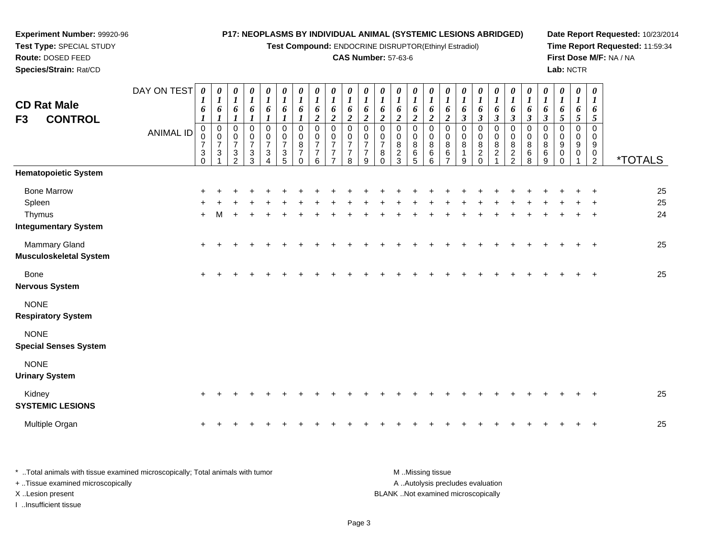#### **Experiment Number:** 99920-96**Test Type:** SPECIAL STUDY**Route:** DOSED FEED **Species/Strain:** Rat/CD**P17: NEOPLASMS BY INDIVIDUAL ANIMAL (SYSTEMIC LESIONS ABRIDGED)Test Compound:** ENDOCRINE DISRUPTOR(Ethinyl Estradiol)**CAS Number:** 57-63-6**Date Report Requested:** 10/23/2014**Time Report Requested:** 11:59:34**First Dose M/F:** NA / NA**Lab:** NCTRDAY ON TEST**CD Rat Male F3 CONTROL**ANIMAL ID*0 1 6 1* 0 0 7 3 0*0 1 6 1* 0 0 7 3 1*0 1 6 1* 0 0 7 3 2*0 1 6 1* 0 0 7 3 3*0 1 6 1* 0 0 7 3 4*0 1 6 1* 0 0 7 3 5*0 1 6 1* 0 0 8 7 0*0 1 6 2* 0 0 7 7 6*0 1 6 2* 0 0 7 7 7*0 1 6 2* 0 0 7 7 8*0 1 6 2* 0 0 7 7 9*0 1 6 2* 0 0 7 8 0*0 1 6 2* 0 0 8 2 3*0 1 6 2* 0 0 8 6 5*0 1 6 2* 0 0 8 6 6*0 1 6 2* 0 0 8 6 7*0 1 6 3* 0 0 8 1 9*0 1 6 3* 0 0 8 2 0*0 1 6 3* 0 0 8 2 1*0 1 6 3* 0 0 8 2 2*0 1 6 3* 0 0 8 6 8*0 1 6 3* 0 0 8 6 9*0 1 6 5* 0 0 9 0 0*0 1 6 5* 0 0 9 0 1*0 1 6 5* 0 0 9 0 $\frac{5}{2}$ <sup>2</sup> \*TOTALS**Hematopoietic System**Bone Marrow <sup>+</sup> <sup>+</sup> <sup>+</sup> <sup>+</sup> <sup>+</sup> <sup>+</sup> <sup>+</sup> <sup>+</sup> <sup>+</sup> <sup>+</sup> <sup>+</sup> <sup>+</sup> <sup>+</sup> <sup>+</sup> <sup>+</sup> <sup>+</sup> <sup>+</sup> <sup>+</sup> <sup>+</sup> <sup>+</sup> <sup>+</sup> <sup>+</sup> <sup>+</sup> <sup>+</sup> <sup>+</sup> <sup>25</sup> Spleenn  $+$  <sup>+</sup> <sup>+</sup> <sup>+</sup> <sup>+</sup> <sup>+</sup> <sup>+</sup> <sup>+</sup> <sup>+</sup> <sup>+</sup> <sup>+</sup> <sup>+</sup> <sup>+</sup> <sup>+</sup> <sup>+</sup> <sup>+</sup> <sup>+</sup> <sup>+</sup> <sup>+</sup> <sup>+</sup> <sup>+</sup> <sup>+</sup> <sup>+</sup> <sup>+</sup> <sup>+</sup> <sup>25</sup> Thymus <sup>+</sup> <sup>M</sup> <sup>+</sup> <sup>+</sup> <sup>+</sup> <sup>+</sup> <sup>+</sup> <sup>+</sup> <sup>+</sup> <sup>+</sup> <sup>+</sup> <sup>+</sup> <sup>+</sup> <sup>+</sup> <sup>+</sup> <sup>+</sup> <sup>+</sup> <sup>+</sup> <sup>+</sup> <sup>+</sup> <sup>+</sup> <sup>+</sup> <sup>+</sup> <sup>+</sup> <sup>+</sup> <sup>24</sup> **Integumentary System**Mammary Gland $\alpha$  + <sup>+</sup> <sup>+</sup> <sup>+</sup> <sup>+</sup> <sup>+</sup> <sup>+</sup> <sup>+</sup> <sup>+</sup> <sup>+</sup> <sup>+</sup> <sup>+</sup> <sup>+</sup> <sup>+</sup> <sup>+</sup> <sup>+</sup> <sup>+</sup> <sup>+</sup> <sup>+</sup> <sup>+</sup> <sup>+</sup> <sup>+</sup> <sup>+</sup> <sup>+</sup> <sup>+</sup> <sup>25</sup> **Musculoskeletal System**Bone $e$  + <sup>+</sup> <sup>+</sup> <sup>+</sup> <sup>+</sup> <sup>+</sup> <sup>+</sup> <sup>+</sup> <sup>+</sup> <sup>+</sup> <sup>+</sup> <sup>+</sup> <sup>+</sup> <sup>+</sup> <sup>+</sup> <sup>+</sup> <sup>+</sup> <sup>+</sup> <sup>+</sup> <sup>+</sup> <sup>+</sup> <sup>+</sup> <sup>+</sup> <sup>+</sup> <sup>+</sup> <sup>25</sup> **Nervous System**NONE **Respiratory System**NONE **Special Senses System**NONE**Urinary System**

| Kidney<br><b>SYSTEMIC LESIONS</b> |  |  |  |  |  |  |  |  |  |  |  |  |  | 25 |
|-----------------------------------|--|--|--|--|--|--|--|--|--|--|--|--|--|----|
| Multiple Organ                    |  |  |  |  |  |  |  |  |  |  |  |  |  | 25 |

\* ..Total animals with tissue examined microscopically; Total animals with tumor M ...Missing tissue M ...Missing tissue A ..Autolysis precludes evaluation + ..Tissue examined microscopically X ..Lesion present BLANK ..Not examined microscopicallyI ..Insufficient tissue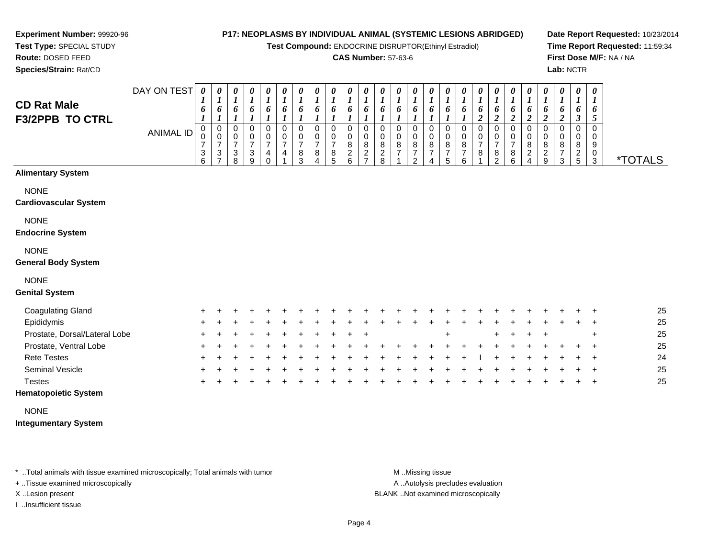**Test Compound:** ENDOCRINE DISRUPTOR(Ethinyl Estradiol)

#### **CAS Number:** 57-63-6

**Date Report Requested:** 10/23/2014**Time Report Requested:** 11:59:34**First Dose M/F:** NA / NA**Lab:** NCTR

**Experiment Number:** 99920-96**Test Type:** SPECIAL STUDY**Route:** DOSED FEED

**Species/Strain:** Rat/CD

| <b>CD Rat Male</b><br><b>F3/2PPB TO CTRL</b> | DAY ON TEST<br><b>ANIMAL ID</b> | 0<br>6<br>0<br>0<br>$\overline{7}$<br>$\ensuremath{\mathsf{3}}$<br>6 | 0<br>$\boldsymbol{l}$<br>6<br>$\boldsymbol{l}$<br>$\pmb{0}$<br>$\pmb{0}$<br>$\overline{7}$<br>$\mathbf{3}$<br>$\overline{ }$ | 0<br>$\boldsymbol{l}$<br>6<br>1<br>0<br>0<br>$\overline{7}$<br>3<br>8 | 0<br>1<br>6<br>$\boldsymbol{l}$<br>$\mathbf 0$<br>0<br>$\overline{7}$<br>3<br>9 | 0<br>$\boldsymbol{l}$<br>6<br>$\boldsymbol{l}$<br>0<br>0<br>$\overline{7}$<br>4<br>$\Omega$ | 0<br>$\boldsymbol{l}$<br>6<br>1<br>0<br>0<br>7<br>4 | 0<br>$\boldsymbol{l}$<br>6<br>$\boldsymbol{l}$<br>$\pmb{0}$<br>$\mathbf 0$<br>$\overline{7}$<br>8<br>3 | $\boldsymbol{\theta}$<br>$\boldsymbol{l}$<br>6<br>$\boldsymbol{l}$<br>$\pmb{0}$<br>$\pmb{0}$<br>7<br>8<br>4 | 0<br>$\boldsymbol{l}$<br>6<br>$\boldsymbol{l}$<br>$\mathbf 0$<br>0<br>$\overline{7}$<br>8<br>5 | 0<br>$\boldsymbol{l}$<br>6<br>$\boldsymbol{l}$<br>$\mathbf 0$<br>0<br>$\bf 8$<br>$\overline{c}$<br>6 | 0<br>$\boldsymbol{l}$<br>6<br>$\boldsymbol{l}$<br>$\mathbf 0$<br>0<br>8<br>$\overline{c}$<br>⇁ | 0<br>$\boldsymbol{l}$<br>6<br>$\mathbf 0$<br>$\pmb{0}$<br>$\bf 8$<br>$\boldsymbol{2}$<br>8 | 0<br>6<br>0<br>0<br>$\bf 8$<br>$\overline{7}$ | 0<br>$\boldsymbol{l}$<br>6<br>0<br>$\pmb{0}$<br>$\bf 8$<br>$\boldsymbol{7}$<br>$\overline{2}$ | $\boldsymbol{\theta}$<br>$\boldsymbol{l}$<br>6<br>$\pmb{0}$<br>$\pmb{0}$<br>$\,8\,$<br>$\overline{\mathbf{7}}$<br>4 | 0<br>$\boldsymbol{l}$<br>6<br>$\pmb{0}$<br>$\mathsf 0$<br>$\bf 8$<br>$\overline{7}$<br>5 | $\boldsymbol{\theta}$<br>$\boldsymbol{l}$<br>6<br>$\boldsymbol{l}$<br>$\pmb{0}$<br>$\pmb{0}$<br>$\, 8$<br>$\overline{7}$<br>6 | $\boldsymbol{l}$<br>6<br>$\boldsymbol{2}$<br>0<br>0<br>$\overline{7}$<br>8 | 6<br>$\boldsymbol{2}$<br>0<br>0<br>$\overline{7}$<br>8<br>$\mathcal{P}$ | 0<br>$\boldsymbol{l}$<br>6<br>$\boldsymbol{2}$<br>0<br>0<br>$\overline{7}$<br>8<br>6 | 0<br>$\boldsymbol{l}$<br>6<br>$\boldsymbol{2}$<br>0<br>0<br>8<br>$\overline{c}$<br>4 | 0<br>$\boldsymbol{l}$<br>6<br>$\boldsymbol{2}$<br>$\pmb{0}$<br>$\pmb{0}$<br>$\bf8$<br>$\overline{c}$<br>9 | 0<br>$\boldsymbol{l}$<br>6<br>$\boldsymbol{2}$<br>$\pmb{0}$<br>0<br>8<br>$\boldsymbol{7}$<br>3 | 0<br>$\boldsymbol{l}$<br>6<br>$\boldsymbol{\beta}$<br>$\pmb{0}$<br>0<br>8<br>$rac{2}{5}$ | 0<br>$\bm{l}$<br>6<br>5<br>$\mathbf 0$<br>0<br>9<br>$\mathbf 0$<br>3 | <i><b>*TOTALS</b></i> |
|----------------------------------------------|---------------------------------|----------------------------------------------------------------------|------------------------------------------------------------------------------------------------------------------------------|-----------------------------------------------------------------------|---------------------------------------------------------------------------------|---------------------------------------------------------------------------------------------|-----------------------------------------------------|--------------------------------------------------------------------------------------------------------|-------------------------------------------------------------------------------------------------------------|------------------------------------------------------------------------------------------------|------------------------------------------------------------------------------------------------------|------------------------------------------------------------------------------------------------|--------------------------------------------------------------------------------------------|-----------------------------------------------|-----------------------------------------------------------------------------------------------|---------------------------------------------------------------------------------------------------------------------|------------------------------------------------------------------------------------------|-------------------------------------------------------------------------------------------------------------------------------|----------------------------------------------------------------------------|-------------------------------------------------------------------------|--------------------------------------------------------------------------------------|--------------------------------------------------------------------------------------|-----------------------------------------------------------------------------------------------------------|------------------------------------------------------------------------------------------------|------------------------------------------------------------------------------------------|----------------------------------------------------------------------|-----------------------|
| <b>Alimentary System</b>                     |                                 |                                                                      |                                                                                                                              |                                                                       |                                                                                 |                                                                                             |                                                     |                                                                                                        |                                                                                                             |                                                                                                |                                                                                                      |                                                                                                |                                                                                            |                                               |                                                                                               |                                                                                                                     |                                                                                          |                                                                                                                               |                                                                            |                                                                         |                                                                                      |                                                                                      |                                                                                                           |                                                                                                |                                                                                          |                                                                      |                       |
| <b>NONE</b><br><b>Cardiovascular System</b>  |                                 |                                                                      |                                                                                                                              |                                                                       |                                                                                 |                                                                                             |                                                     |                                                                                                        |                                                                                                             |                                                                                                |                                                                                                      |                                                                                                |                                                                                            |                                               |                                                                                               |                                                                                                                     |                                                                                          |                                                                                                                               |                                                                            |                                                                         |                                                                                      |                                                                                      |                                                                                                           |                                                                                                |                                                                                          |                                                                      |                       |
| <b>NONE</b><br><b>Endocrine System</b>       |                                 |                                                                      |                                                                                                                              |                                                                       |                                                                                 |                                                                                             |                                                     |                                                                                                        |                                                                                                             |                                                                                                |                                                                                                      |                                                                                                |                                                                                            |                                               |                                                                                               |                                                                                                                     |                                                                                          |                                                                                                                               |                                                                            |                                                                         |                                                                                      |                                                                                      |                                                                                                           |                                                                                                |                                                                                          |                                                                      |                       |
| <b>NONE</b><br><b>General Body System</b>    |                                 |                                                                      |                                                                                                                              |                                                                       |                                                                                 |                                                                                             |                                                     |                                                                                                        |                                                                                                             |                                                                                                |                                                                                                      |                                                                                                |                                                                                            |                                               |                                                                                               |                                                                                                                     |                                                                                          |                                                                                                                               |                                                                            |                                                                         |                                                                                      |                                                                                      |                                                                                                           |                                                                                                |                                                                                          |                                                                      |                       |
| <b>NONE</b><br><b>Genital System</b>         |                                 |                                                                      |                                                                                                                              |                                                                       |                                                                                 |                                                                                             |                                                     |                                                                                                        |                                                                                                             |                                                                                                |                                                                                                      |                                                                                                |                                                                                            |                                               |                                                                                               |                                                                                                                     |                                                                                          |                                                                                                                               |                                                                            |                                                                         |                                                                                      |                                                                                      |                                                                                                           |                                                                                                |                                                                                          |                                                                      |                       |
| <b>Coagulating Gland</b>                     |                                 |                                                                      |                                                                                                                              |                                                                       |                                                                                 |                                                                                             |                                                     |                                                                                                        |                                                                                                             |                                                                                                |                                                                                                      |                                                                                                |                                                                                            |                                               |                                                                                               |                                                                                                                     |                                                                                          |                                                                                                                               |                                                                            |                                                                         |                                                                                      |                                                                                      |                                                                                                           |                                                                                                |                                                                                          |                                                                      | 25                    |
| Epididymis                                   |                                 |                                                                      |                                                                                                                              |                                                                       |                                                                                 |                                                                                             |                                                     |                                                                                                        |                                                                                                             |                                                                                                |                                                                                                      |                                                                                                |                                                                                            |                                               |                                                                                               |                                                                                                                     |                                                                                          |                                                                                                                               |                                                                            |                                                                         |                                                                                      |                                                                                      |                                                                                                           |                                                                                                |                                                                                          |                                                                      | 25                    |
| Prostate, Dorsal/Lateral Lobe                |                                 |                                                                      |                                                                                                                              |                                                                       |                                                                                 |                                                                                             |                                                     |                                                                                                        |                                                                                                             |                                                                                                |                                                                                                      |                                                                                                |                                                                                            |                                               |                                                                                               |                                                                                                                     | $\ddot{}$                                                                                |                                                                                                                               |                                                                            |                                                                         |                                                                                      |                                                                                      |                                                                                                           |                                                                                                |                                                                                          | ÷                                                                    | 25                    |
| Prostate, Ventral Lobe                       |                                 |                                                                      |                                                                                                                              |                                                                       |                                                                                 |                                                                                             |                                                     |                                                                                                        |                                                                                                             |                                                                                                |                                                                                                      |                                                                                                |                                                                                            |                                               |                                                                                               |                                                                                                                     |                                                                                          |                                                                                                                               |                                                                            |                                                                         |                                                                                      |                                                                                      |                                                                                                           |                                                                                                |                                                                                          |                                                                      | 25                    |
| <b>Rete Testes</b>                           |                                 |                                                                      |                                                                                                                              |                                                                       |                                                                                 |                                                                                             |                                                     |                                                                                                        |                                                                                                             |                                                                                                |                                                                                                      |                                                                                                |                                                                                            |                                               |                                                                                               |                                                                                                                     |                                                                                          |                                                                                                                               |                                                                            |                                                                         |                                                                                      |                                                                                      |                                                                                                           |                                                                                                |                                                                                          |                                                                      | 24                    |
| <b>Seminal Vesicle</b>                       |                                 |                                                                      |                                                                                                                              |                                                                       |                                                                                 |                                                                                             |                                                     |                                                                                                        |                                                                                                             |                                                                                                |                                                                                                      |                                                                                                |                                                                                            |                                               |                                                                                               |                                                                                                                     |                                                                                          |                                                                                                                               |                                                                            |                                                                         |                                                                                      |                                                                                      |                                                                                                           |                                                                                                |                                                                                          |                                                                      | 25                    |
| <b>Testes</b>                                |                                 |                                                                      |                                                                                                                              |                                                                       |                                                                                 |                                                                                             |                                                     |                                                                                                        |                                                                                                             |                                                                                                |                                                                                                      |                                                                                                |                                                                                            |                                               |                                                                                               |                                                                                                                     |                                                                                          |                                                                                                                               |                                                                            |                                                                         |                                                                                      |                                                                                      |                                                                                                           |                                                                                                |                                                                                          | +                                                                    | 25                    |

# **Hematopoietic System**

NONE

**Integumentary System**

\* ..Total animals with tissue examined microscopically; Total animals with tumor **M** ...Missing tissue M ...Missing tissue

+ ..Tissue examined microscopically

I ..Insufficient tissue

A ..Autolysis precludes evaluation

X ..Lesion present BLANK ..Not examined microscopically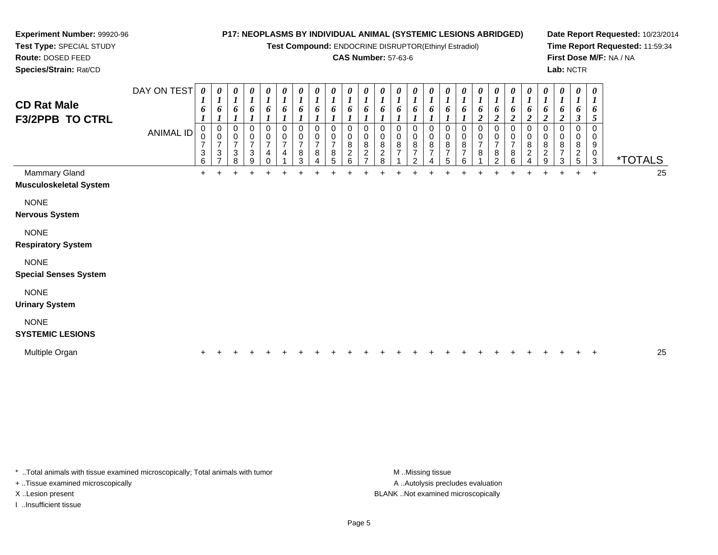**Test Compound:** ENDOCRINE DISRUPTOR(Ethinyl Estradiol)

### **CAS Number:** 57-63-6

**Date Report Requested:** 10/23/2014**Time Report Requested:** 11:59:34**First Dose M/F:** NA / NA**Lab:** NCTR

**Test Type:** SPECIAL STUDY**Route:** DOSED FEED**Species/Strain:** Rat/CD

**Experiment Number:** 99920-96

| <b>CD Rat Male</b><br><b>F3/2PPB TO CTRL</b>   | DAY ON TEST<br><b>ANIMAL ID</b> | 0<br>$\boldsymbol{l}$<br>6<br>$\mathbf 0$<br>$\mathbf 0$<br>$\overline{7}$<br>$\frac{3}{6}$ | $\boldsymbol{\theta}$<br>$\boldsymbol{l}$<br>6<br>0<br>$\pmb{0}$<br>$\overline{7}$<br>$\sqrt{3}$<br>$\overline{ }$ | 0<br>$\boldsymbol{l}$<br>6<br>0<br>0<br>$\overline{7}$<br>3<br>8 | 0<br>$\boldsymbol{l}$<br>6<br>$\mathbf 0$<br>0<br>$\overline{7}$<br>$\sqrt{3}$<br>9 | $\pmb{\theta}$<br>$\boldsymbol{l}$<br>6<br>$\mathbf 0$<br>0<br>$\overline{7}$<br>4 | $\frac{\boldsymbol{\theta}}{\boldsymbol{I}}$<br>6<br>0<br>$\pmb{0}$<br>$\overline{7}$<br>4 | $\boldsymbol{\theta}$<br>$\boldsymbol{l}$<br>6<br>$\mathbf 0$<br>$\pmb{0}$<br>$\overline{7}$<br>$\, 8$<br>3 | 0<br>$\boldsymbol{l}$<br>6<br>$\mathbf 0$<br>$\pmb{0}$<br>$\overline{7}$<br>8 | $\pmb{\theta}$<br>$\boldsymbol{l}$<br>6<br>$\mathbf 0$<br>0<br>$\overline{7}$<br>8<br>5 | 0<br>$\boldsymbol{l}$<br>6<br>0<br>0<br>8<br>$\overline{c}$<br>6 | 0<br>$\boldsymbol{l}$<br>6<br>0<br>0<br>8<br>$\boldsymbol{2}$ | $\boldsymbol{\theta}$<br>$\boldsymbol{l}$<br>6<br>$\Omega$<br>0<br>8<br>$\sqrt{2}$<br>8 | 0<br>6<br>0<br>0<br>8<br>$\overline{7}$ | 0<br>$\boldsymbol{l}$<br>6<br>0<br>0<br>$\bf 8$<br>$\overline{\mathcal{I}}$<br>2 | $\boldsymbol{\theta}$<br>$\boldsymbol{l}$<br>6<br>0<br>$\pmb{0}$<br>8<br>$\overline{7}$ | 0<br>$\boldsymbol{l}$<br>6<br>0<br>0<br>$\bf 8$<br>$\overline{7}$<br>5 | 0<br>$\boldsymbol{l}$<br>6<br>0<br>0<br>8<br>$\overline{7}$<br>6 | $\boldsymbol{\theta}$<br>$\boldsymbol{l}$<br>6<br>$\boldsymbol{2}$<br>$\mathbf 0$<br>0<br>$\overline{7}$<br>8 | $\frac{\boldsymbol{\theta}}{\boldsymbol{I}}$<br>6<br>$\overline{\mathbf{c}}$<br>0<br>$\pmb{0}$<br>$\overline{7}$<br>8<br>$\mathcal{P}$ | $\boldsymbol{\theta}$<br>$\boldsymbol{l}$<br>6<br>$\overline{c}$<br>0<br>$\pmb{0}$<br>$\overline{7}$<br>8<br>6 | $\pmb{\theta}$<br>$\boldsymbol{l}$<br>6<br>0<br>0<br>8<br>$\overline{c}$ | $\pmb{\theta}$<br>$\mathbf{I}$<br>6<br>$\boldsymbol{2}$<br>0<br>0<br>8<br>$\overline{c}$<br>9 | 0<br>$\boldsymbol{l}$<br>o<br>$\boldsymbol{2}$<br>0<br>0<br>8<br>7<br>3 | $\pmb{\theta}$<br>$\boldsymbol{l}$<br>6<br>$\boldsymbol{\beta}$<br>0<br>8<br>$\overline{c}$<br>5 | $\boldsymbol{\theta}$<br>$\boldsymbol{l}$<br>6<br>5<br>$\Omega$<br>0<br>9<br>$\pmb{0}$<br>3 | <i><b>*TOTALS</b></i> |    |
|------------------------------------------------|---------------------------------|---------------------------------------------------------------------------------------------|--------------------------------------------------------------------------------------------------------------------|------------------------------------------------------------------|-------------------------------------------------------------------------------------|------------------------------------------------------------------------------------|--------------------------------------------------------------------------------------------|-------------------------------------------------------------------------------------------------------------|-------------------------------------------------------------------------------|-----------------------------------------------------------------------------------------|------------------------------------------------------------------|---------------------------------------------------------------|-----------------------------------------------------------------------------------------|-----------------------------------------|----------------------------------------------------------------------------------|-----------------------------------------------------------------------------------------|------------------------------------------------------------------------|------------------------------------------------------------------|---------------------------------------------------------------------------------------------------------------|----------------------------------------------------------------------------------------------------------------------------------------|----------------------------------------------------------------------------------------------------------------|--------------------------------------------------------------------------|-----------------------------------------------------------------------------------------------|-------------------------------------------------------------------------|--------------------------------------------------------------------------------------------------|---------------------------------------------------------------------------------------------|-----------------------|----|
| Mammary Gland<br><b>Musculoskeletal System</b> |                                 | $+$                                                                                         |                                                                                                                    |                                                                  |                                                                                     |                                                                                    |                                                                                            | $\ddot{}$                                                                                                   |                                                                               |                                                                                         |                                                                  |                                                               |                                                                                         |                                         |                                                                                  |                                                                                         |                                                                        |                                                                  |                                                                                                               |                                                                                                                                        | $\ddot{}$                                                                                                      |                                                                          | $\ddot{}$                                                                                     | $\ddot{}$                                                               | $+$                                                                                              | $+$                                                                                         |                       | 25 |
| <b>NONE</b><br><b>Nervous System</b>           |                                 |                                                                                             |                                                                                                                    |                                                                  |                                                                                     |                                                                                    |                                                                                            |                                                                                                             |                                                                               |                                                                                         |                                                                  |                                                               |                                                                                         |                                         |                                                                                  |                                                                                         |                                                                        |                                                                  |                                                                                                               |                                                                                                                                        |                                                                                                                |                                                                          |                                                                                               |                                                                         |                                                                                                  |                                                                                             |                       |    |
| <b>NONE</b><br><b>Respiratory System</b>       |                                 |                                                                                             |                                                                                                                    |                                                                  |                                                                                     |                                                                                    |                                                                                            |                                                                                                             |                                                                               |                                                                                         |                                                                  |                                                               |                                                                                         |                                         |                                                                                  |                                                                                         |                                                                        |                                                                  |                                                                                                               |                                                                                                                                        |                                                                                                                |                                                                          |                                                                                               |                                                                         |                                                                                                  |                                                                                             |                       |    |
| <b>NONE</b><br><b>Special Senses System</b>    |                                 |                                                                                             |                                                                                                                    |                                                                  |                                                                                     |                                                                                    |                                                                                            |                                                                                                             |                                                                               |                                                                                         |                                                                  |                                                               |                                                                                         |                                         |                                                                                  |                                                                                         |                                                                        |                                                                  |                                                                                                               |                                                                                                                                        |                                                                                                                |                                                                          |                                                                                               |                                                                         |                                                                                                  |                                                                                             |                       |    |
| <b>NONE</b><br><b>Urinary System</b>           |                                 |                                                                                             |                                                                                                                    |                                                                  |                                                                                     |                                                                                    |                                                                                            |                                                                                                             |                                                                               |                                                                                         |                                                                  |                                                               |                                                                                         |                                         |                                                                                  |                                                                                         |                                                                        |                                                                  |                                                                                                               |                                                                                                                                        |                                                                                                                |                                                                          |                                                                                               |                                                                         |                                                                                                  |                                                                                             |                       |    |
| <b>NONE</b><br><b>SYSTEMIC LESIONS</b>         |                                 |                                                                                             |                                                                                                                    |                                                                  |                                                                                     |                                                                                    |                                                                                            |                                                                                                             |                                                                               |                                                                                         |                                                                  |                                                               |                                                                                         |                                         |                                                                                  |                                                                                         |                                                                        |                                                                  |                                                                                                               |                                                                                                                                        |                                                                                                                |                                                                          |                                                                                               |                                                                         |                                                                                                  |                                                                                             |                       |    |
| Multiple Organ                                 |                                 |                                                                                             |                                                                                                                    |                                                                  |                                                                                     |                                                                                    |                                                                                            |                                                                                                             |                                                                               |                                                                                         |                                                                  |                                                               |                                                                                         |                                         |                                                                                  |                                                                                         |                                                                        |                                                                  |                                                                                                               |                                                                                                                                        |                                                                                                                |                                                                          |                                                                                               |                                                                         |                                                                                                  | $\,$                                                                                        |                       | 25 |

\* ..Total animals with tissue examined microscopically; Total animals with tumor **M** . Missing tissue M ..Missing tissue

+ ..Tissue examined microscopically

I ..Insufficient tissue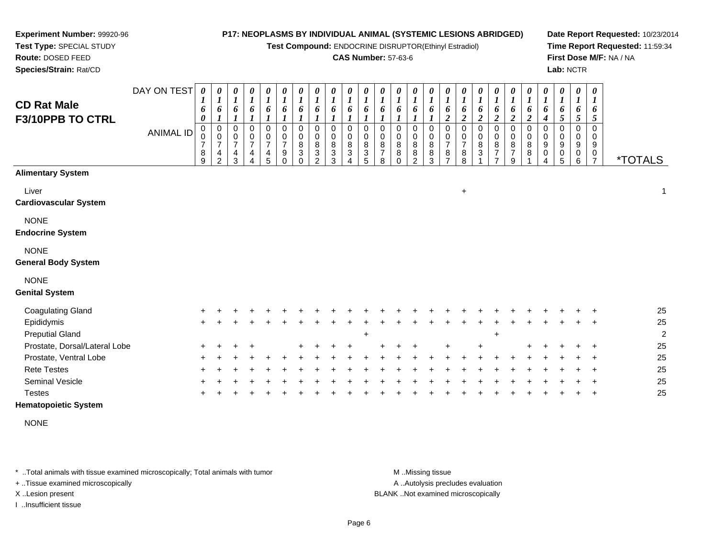**Test Compound:** ENDOCRINE DISRUPTOR(Ethinyl Estradiol)

## **CAS Number:** 57-63-6

**Date Report Requested:** 10/23/2014**Time Report Requested:** 11:59:34**First Dose M/F:** NA / NA**Lab:** NCTR

| <b>CD Rat Male</b><br>F3/10PPB TO CTRL       | DAY ON TEST<br><b>ANIMAL ID</b> | $\boldsymbol{\theta}$<br>6<br>0<br>0<br>0<br>$\overline{7}$<br>8<br>9 | 0<br>$\boldsymbol{l}$<br>6<br>$\boldsymbol{l}$<br>0<br>$\mathbf 0$<br>$\overline{7}$<br>4<br>$\overline{2}$ | $\pmb{\theta}$<br>$\boldsymbol{l}$<br>6<br>$\boldsymbol{l}$<br>$\mathbf 0$<br>$\mathbf 0$<br>$\overline{7}$<br>4<br>3 | 0<br>$\boldsymbol{l}$<br>6<br>$\boldsymbol{l}$<br>$\mathbf 0$<br>$\mathbf 0$<br>$\overline{7}$<br>4<br>$\Delta$ | $\pmb{\theta}$<br>$\boldsymbol{l}$<br>6<br>$\mathbf 0$<br>$\mathbf 0$<br>$\overline{7}$<br>4<br>5 | 0<br>$\boldsymbol{l}$<br>6<br>0<br>$\mathbf 0$<br>$\overline{7}$<br>9<br>$\Omega$ | $\pmb{\theta}$<br>$\boldsymbol{l}$<br>6<br>$\pmb{0}$<br>$\mathbf 0$<br>8<br>$\mathbf{3}$<br>$\Omega$ | 0<br>$\boldsymbol{l}$<br>6<br>$\boldsymbol{l}$<br>$\,0\,$<br>$\mathbf 0$<br>8<br>$\mathbf{3}$<br>$\mathcal{P}$ | $\pmb{\theta}$<br>$\boldsymbol{l}$<br>6<br>$\,0\,$<br>$\mathbf 0$<br>8<br>$\ensuremath{\mathsf{3}}$<br>3 | 0<br>$\boldsymbol{l}$<br>6<br>$\mathbf 0$<br>$\Omega$<br>8<br>3 | $\pmb{\theta}$<br>$\boldsymbol{l}$<br>6<br>1<br>$\Omega$<br>$\mathbf 0$<br>8<br>$\ensuremath{\mathsf{3}}$<br>5 | $\boldsymbol{\theta}$<br>$\boldsymbol{l}$<br>6<br>$\boldsymbol{\eta}$<br>$\Omega$<br>$\Omega$<br>8<br>$\overline{7}$<br>8 | $\pmb{\theta}$<br>$\boldsymbol{l}$<br>6<br>$\pmb{0}$<br>$\mathbf 0$<br>8<br>$\bf 8$<br>$\Omega$ | $\boldsymbol{\theta}$<br>$\boldsymbol{l}$<br>6<br>0<br>$\mathbf 0$<br>8<br>8<br>$\mathcal{P}$ | 0<br>$\boldsymbol{l}$<br>6<br>0<br>$\pmb{0}$<br>8<br>8<br>3 | 0<br>$\boldsymbol{l}$<br>6<br>$\boldsymbol{2}$<br>$\mathbf 0$<br>$\mathbf 0$<br>$\overline{7}$<br>8<br>$\overline{7}$ | 0<br>$\boldsymbol{l}$<br>6<br>$\boldsymbol{2}$<br>$\mathbf 0$<br>$\frac{0}{7}$<br>8<br>8 | $\boldsymbol{\theta}$<br>$\boldsymbol{l}$<br>6<br>$\boldsymbol{2}$<br>$\pmb{0}$<br>$\mathbf 0$<br>8<br>$\mathbf{3}$ | 0<br>$\boldsymbol{l}$<br>6<br>$\boldsymbol{2}$<br>0<br>0<br>8<br>$\overline{7}$ | $\boldsymbol{\theta}$<br>$\boldsymbol{l}$<br>6<br>$\overline{2}$<br>$\mathbf 0$<br>$\mathbf 0$<br>8<br>$\overline{7}$<br>g | 0<br>$\boldsymbol{l}$<br>6<br>$\boldsymbol{2}$<br>$\mathbf 0$<br>$\mathbf 0$<br>8<br>8 | 0<br>$\boldsymbol{l}$<br>6<br>$\boldsymbol{4}$<br>0<br>$\mathbf 0$<br>9<br>$\pmb{0}$ | 0<br>$\boldsymbol{l}$<br>6<br>5<br>0<br>0<br>9<br>$\mathbf 0$<br>5 | $\boldsymbol{\theta}$<br>$\boldsymbol{I}$<br>6<br>$\mathfrak{s}$<br>$\mathbf 0$<br>$\mathbf 0$<br>9<br>0<br>6 | 0<br>6<br>5<br>$\Omega$<br>$\Omega$<br>9<br>0<br>$\overline{7}$ | <i><b>*TOTALS</b></i> |
|----------------------------------------------|---------------------------------|-----------------------------------------------------------------------|-------------------------------------------------------------------------------------------------------------|-----------------------------------------------------------------------------------------------------------------------|-----------------------------------------------------------------------------------------------------------------|---------------------------------------------------------------------------------------------------|-----------------------------------------------------------------------------------|------------------------------------------------------------------------------------------------------|----------------------------------------------------------------------------------------------------------------|----------------------------------------------------------------------------------------------------------|-----------------------------------------------------------------|----------------------------------------------------------------------------------------------------------------|---------------------------------------------------------------------------------------------------------------------------|-------------------------------------------------------------------------------------------------|-----------------------------------------------------------------------------------------------|-------------------------------------------------------------|-----------------------------------------------------------------------------------------------------------------------|------------------------------------------------------------------------------------------|---------------------------------------------------------------------------------------------------------------------|---------------------------------------------------------------------------------|----------------------------------------------------------------------------------------------------------------------------|----------------------------------------------------------------------------------------|--------------------------------------------------------------------------------------|--------------------------------------------------------------------|---------------------------------------------------------------------------------------------------------------|-----------------------------------------------------------------|-----------------------|
| <b>Alimentary System</b>                     |                                 |                                                                       |                                                                                                             |                                                                                                                       |                                                                                                                 |                                                                                                   |                                                                                   |                                                                                                      |                                                                                                                |                                                                                                          |                                                                 |                                                                                                                |                                                                                                                           |                                                                                                 |                                                                                               |                                                             |                                                                                                                       |                                                                                          |                                                                                                                     |                                                                                 |                                                                                                                            |                                                                                        |                                                                                      |                                                                    |                                                                                                               |                                                                 |                       |
| Liver<br><b>Cardiovascular System</b>        |                                 |                                                                       |                                                                                                             |                                                                                                                       |                                                                                                                 |                                                                                                   |                                                                                   |                                                                                                      |                                                                                                                |                                                                                                          |                                                                 |                                                                                                                |                                                                                                                           |                                                                                                 |                                                                                               |                                                             |                                                                                                                       | $+$                                                                                      |                                                                                                                     |                                                                                 |                                                                                                                            |                                                                                        |                                                                                      |                                                                    |                                                                                                               |                                                                 | 1                     |
| <b>NONE</b><br><b>Endocrine System</b>       |                                 |                                                                       |                                                                                                             |                                                                                                                       |                                                                                                                 |                                                                                                   |                                                                                   |                                                                                                      |                                                                                                                |                                                                                                          |                                                                 |                                                                                                                |                                                                                                                           |                                                                                                 |                                                                                               |                                                             |                                                                                                                       |                                                                                          |                                                                                                                     |                                                                                 |                                                                                                                            |                                                                                        |                                                                                      |                                                                    |                                                                                                               |                                                                 |                       |
| <b>NONE</b><br><b>General Body System</b>    |                                 |                                                                       |                                                                                                             |                                                                                                                       |                                                                                                                 |                                                                                                   |                                                                                   |                                                                                                      |                                                                                                                |                                                                                                          |                                                                 |                                                                                                                |                                                                                                                           |                                                                                                 |                                                                                               |                                                             |                                                                                                                       |                                                                                          |                                                                                                                     |                                                                                 |                                                                                                                            |                                                                                        |                                                                                      |                                                                    |                                                                                                               |                                                                 |                       |
| <b>NONE</b><br><b>Genital System</b>         |                                 |                                                                       |                                                                                                             |                                                                                                                       |                                                                                                                 |                                                                                                   |                                                                                   |                                                                                                      |                                                                                                                |                                                                                                          |                                                                 |                                                                                                                |                                                                                                                           |                                                                                                 |                                                                                               |                                                             |                                                                                                                       |                                                                                          |                                                                                                                     |                                                                                 |                                                                                                                            |                                                                                        |                                                                                      |                                                                    |                                                                                                               |                                                                 |                       |
| Coagulating Gland                            |                                 |                                                                       |                                                                                                             |                                                                                                                       |                                                                                                                 |                                                                                                   |                                                                                   |                                                                                                      |                                                                                                                |                                                                                                          |                                                                 |                                                                                                                |                                                                                                                           |                                                                                                 |                                                                                               |                                                             |                                                                                                                       |                                                                                          |                                                                                                                     |                                                                                 |                                                                                                                            |                                                                                        |                                                                                      |                                                                    |                                                                                                               |                                                                 | 25                    |
| Epididymis<br><b>Preputial Gland</b>         |                                 |                                                                       |                                                                                                             |                                                                                                                       |                                                                                                                 |                                                                                                   |                                                                                   |                                                                                                      |                                                                                                                |                                                                                                          |                                                                 | $\pm$                                                                                                          |                                                                                                                           |                                                                                                 |                                                                                               |                                                             |                                                                                                                       |                                                                                          |                                                                                                                     | $\ddot{}$                                                                       |                                                                                                                            |                                                                                        |                                                                                      |                                                                    |                                                                                                               |                                                                 | 25<br>$\overline{c}$  |
| Prostate, Dorsal/Lateral Lobe                |                                 |                                                                       |                                                                                                             |                                                                                                                       |                                                                                                                 |                                                                                                   |                                                                                   |                                                                                                      |                                                                                                                |                                                                                                          |                                                                 |                                                                                                                |                                                                                                                           |                                                                                                 |                                                                                               |                                                             |                                                                                                                       |                                                                                          |                                                                                                                     |                                                                                 |                                                                                                                            |                                                                                        |                                                                                      |                                                                    |                                                                                                               |                                                                 | 25                    |
| Prostate, Ventral Lobe                       |                                 |                                                                       |                                                                                                             |                                                                                                                       |                                                                                                                 |                                                                                                   |                                                                                   |                                                                                                      |                                                                                                                |                                                                                                          |                                                                 |                                                                                                                |                                                                                                                           |                                                                                                 |                                                                                               |                                                             |                                                                                                                       |                                                                                          |                                                                                                                     |                                                                                 |                                                                                                                            |                                                                                        |                                                                                      |                                                                    |                                                                                                               |                                                                 | 25                    |
| <b>Rete Testes</b>                           |                                 |                                                                       |                                                                                                             |                                                                                                                       |                                                                                                                 |                                                                                                   |                                                                                   |                                                                                                      |                                                                                                                |                                                                                                          |                                                                 |                                                                                                                |                                                                                                                           |                                                                                                 |                                                                                               |                                                             |                                                                                                                       |                                                                                          |                                                                                                                     |                                                                                 |                                                                                                                            |                                                                                        |                                                                                      |                                                                    |                                                                                                               |                                                                 | 25                    |
| <b>Seminal Vesicle</b>                       |                                 |                                                                       |                                                                                                             |                                                                                                                       |                                                                                                                 |                                                                                                   |                                                                                   |                                                                                                      |                                                                                                                |                                                                                                          |                                                                 |                                                                                                                |                                                                                                                           |                                                                                                 |                                                                                               |                                                             |                                                                                                                       |                                                                                          |                                                                                                                     |                                                                                 |                                                                                                                            |                                                                                        |                                                                                      |                                                                    |                                                                                                               |                                                                 | 25                    |
| <b>Testes</b><br><b>Hematopoietic System</b> |                                 |                                                                       |                                                                                                             |                                                                                                                       |                                                                                                                 |                                                                                                   |                                                                                   |                                                                                                      |                                                                                                                |                                                                                                          |                                                                 |                                                                                                                |                                                                                                                           |                                                                                                 |                                                                                               |                                                             |                                                                                                                       |                                                                                          |                                                                                                                     |                                                                                 |                                                                                                                            |                                                                                        |                                                                                      |                                                                    |                                                                                                               | $\div$                                                          | 25                    |

NONE

\* ..Total animals with tissue examined microscopically; Total animals with tumor **M** . Missing tissue M ..Missing tissue

+ ..Tissue examined microscopically

**Experiment Number:** 99920-96**Test Type:** SPECIAL STUDY**Route:** DOSED FEED**Species/Strain:** Rat/CD

I ..Insufficient tissue

A ..Autolysis precludes evaluation

X ..Lesion present BLANK ..Not examined microscopically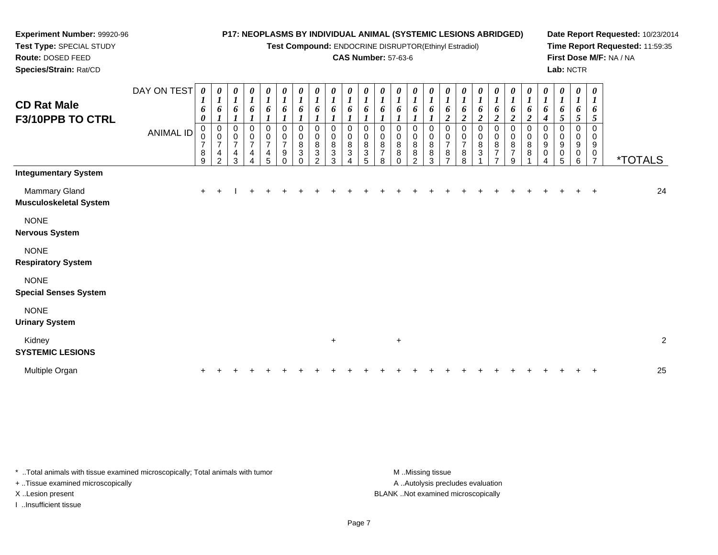**Test Compound:** ENDOCRINE DISRUPTOR(Ethinyl Estradiol)

# **CAS Number:** 57-63-6

**Date Report Requested:** 10/23/2014**Time Report Requested:** 11:59:35**First Dose M/F:** NA / NA**Lab:** NCTR

| <b>CD Rat Male</b><br>F3/10PPB TO CTRL         | DAY ON TEST<br><b>ANIMAL ID</b> | 0<br>$\boldsymbol{l}$<br>6<br>$\boldsymbol{\theta}$<br>0<br>0<br>$\overline{\mathcal{I}}$<br>$\, 8$<br>9 | $\boldsymbol{\theta}$<br>$\boldsymbol{l}$<br>6<br>$\boldsymbol{l}$<br>0<br>$\mathbf 0$<br>$\overline{7}$<br>$\overline{4}$<br>2 | 0<br>$\boldsymbol{l}$<br>6<br>$\boldsymbol{l}$<br>0<br>$\pmb{0}$<br>$\boldsymbol{7}$<br>$\overline{\mathbf{4}}$<br>3 | $\frac{\boldsymbol{0}}{\boldsymbol{1}}$<br>6<br>1<br>$\mathbf 0$<br>$\pmb{0}$<br>$\boldsymbol{7}$<br>$\overline{\mathbf{4}}$<br>$\overline{\mathbf{A}}$ | $\frac{\boldsymbol{\theta}}{\boldsymbol{I}}$<br>6<br>$\boldsymbol{l}$<br>$\pmb{0}$<br>$\frac{0}{7}$<br>$\frac{4}{5}$ | $\frac{\theta}{I}$<br>6<br>$\boldsymbol{l}$<br>0<br>$\pmb{0}$<br>$\boldsymbol{7}$<br>$\boldsymbol{9}$<br>$\overline{0}$ | $\boldsymbol{\theta}$<br>$\boldsymbol{l}$<br>6<br>0<br>$\pmb{0}$<br>$\, 8$<br>$\sqrt{3}$<br>$\Omega$ | 0<br>$\boldsymbol{l}$<br>6<br>0<br>0<br>$\bf 8$<br>3<br>$\mathfrak{D}$ | $\boldsymbol{\theta}$<br>$\boldsymbol{l}$<br>6<br>$\mathbf 0$<br>0<br>$\bf 8$<br>$\sqrt{3}$<br>3 | 0<br>$\boldsymbol{l}$<br>6<br>1<br>0<br>0<br>8<br>3 | 0<br>$\boldsymbol{l}$<br>6<br>1<br>$\mathbf 0$<br>0<br>$\bf 8$<br>$\ensuremath{\mathsf{3}}$<br>5 | 0<br>$\boldsymbol{l}$<br>6<br>0<br>$\pmb{0}$<br>8<br>$\overline{7}$<br>8 | 0<br>$\boldsymbol{l}$<br>6<br>1<br>0<br>$\pmb{0}$<br>8<br>8<br>$\Omega$ | $\boldsymbol{\theta}$<br>$\boldsymbol{l}$<br>6<br>$\boldsymbol{l}$<br>0<br>$\pmb{0}$<br>$\bf8$<br>8<br>$\mathfrak{p}$ | 0<br>$\boldsymbol{l}$<br>6<br>0<br>$\pmb{0}$<br>$\bf8$<br>8<br>3 | $\frac{\theta}{I}$<br>6<br>$\boldsymbol{2}$<br>$\mathbf 0$<br>$\mathbf 0$<br>$\overline{7}$<br>8<br>$\overline{\phantom{a}}$ | 0<br>$\boldsymbol{l}$<br>6<br>$\boldsymbol{2}$<br>0<br>$\pmb{0}$<br>$\boldsymbol{7}$<br>$\bf 8$<br>8 | $\boldsymbol{\theta}$<br>$\boldsymbol{l}$<br>6<br>$\overline{c}$<br>$\mathbf 0$<br>$\pmb{0}$<br>8<br>3 | $\frac{\theta}{I}$<br>6<br>$\boldsymbol{2}$<br>$\pmb{0}$<br>$\pmb{0}$<br>$\bf 8$<br>$\overline{7}$<br>$\overline{ }$ | $\frac{\theta}{I}$<br>6<br>$\overline{c}$<br>0<br>$\pmb{0}$<br>$\bf 8$<br>$\overline{7}$<br>9 | $\frac{\theta}{I}$<br>6<br>$\boldsymbol{2}$<br>0<br>$\pmb{0}$<br>$\bf 8$<br>$\bf 8$ | $\frac{\theta}{I}$<br>6<br>4<br>$\mathbf 0$<br>$\pmb{0}$<br>$\boldsymbol{9}$<br>$\pmb{0}$ | $\begin{matrix} 0 \\ 1 \end{matrix}$<br>6<br>5<br>0<br>0<br>9<br>0<br>5 | $\boldsymbol{\theta}$<br>$\boldsymbol{l}$<br>6<br>$\mathfrak{s}$<br>$\mathbf 0$<br>0<br>9<br>$\boldsymbol{0}$<br>6 | 0<br>$\boldsymbol{l}$<br>6<br>5<br>$\mathbf 0$<br>$\mathbf 0$<br>$\boldsymbol{9}$<br>$\pmb{0}$<br>$\overline{7}$ | <i><b>*TOTALS</b></i> |                |
|------------------------------------------------|---------------------------------|----------------------------------------------------------------------------------------------------------|---------------------------------------------------------------------------------------------------------------------------------|----------------------------------------------------------------------------------------------------------------------|---------------------------------------------------------------------------------------------------------------------------------------------------------|----------------------------------------------------------------------------------------------------------------------|-------------------------------------------------------------------------------------------------------------------------|------------------------------------------------------------------------------------------------------|------------------------------------------------------------------------|--------------------------------------------------------------------------------------------------|-----------------------------------------------------|--------------------------------------------------------------------------------------------------|--------------------------------------------------------------------------|-------------------------------------------------------------------------|-----------------------------------------------------------------------------------------------------------------------|------------------------------------------------------------------|------------------------------------------------------------------------------------------------------------------------------|------------------------------------------------------------------------------------------------------|--------------------------------------------------------------------------------------------------------|----------------------------------------------------------------------------------------------------------------------|-----------------------------------------------------------------------------------------------|-------------------------------------------------------------------------------------|-------------------------------------------------------------------------------------------|-------------------------------------------------------------------------|--------------------------------------------------------------------------------------------------------------------|------------------------------------------------------------------------------------------------------------------|-----------------------|----------------|
| <b>Integumentary System</b>                    |                                 |                                                                                                          |                                                                                                                                 |                                                                                                                      |                                                                                                                                                         |                                                                                                                      |                                                                                                                         |                                                                                                      |                                                                        |                                                                                                  |                                                     |                                                                                                  |                                                                          |                                                                         |                                                                                                                       |                                                                  |                                                                                                                              |                                                                                                      |                                                                                                        |                                                                                                                      |                                                                                               |                                                                                     |                                                                                           |                                                                         |                                                                                                                    |                                                                                                                  |                       |                |
| Mammary Gland<br><b>Musculoskeletal System</b> |                                 | $\ddot{}$                                                                                                |                                                                                                                                 |                                                                                                                      |                                                                                                                                                         |                                                                                                                      |                                                                                                                         |                                                                                                      |                                                                        |                                                                                                  |                                                     |                                                                                                  |                                                                          |                                                                         |                                                                                                                       |                                                                  |                                                                                                                              |                                                                                                      |                                                                                                        |                                                                                                                      |                                                                                               |                                                                                     |                                                                                           |                                                                         |                                                                                                                    |                                                                                                                  |                       | 24             |
| <b>NONE</b><br><b>Nervous System</b>           |                                 |                                                                                                          |                                                                                                                                 |                                                                                                                      |                                                                                                                                                         |                                                                                                                      |                                                                                                                         |                                                                                                      |                                                                        |                                                                                                  |                                                     |                                                                                                  |                                                                          |                                                                         |                                                                                                                       |                                                                  |                                                                                                                              |                                                                                                      |                                                                                                        |                                                                                                                      |                                                                                               |                                                                                     |                                                                                           |                                                                         |                                                                                                                    |                                                                                                                  |                       |                |
| <b>NONE</b><br><b>Respiratory System</b>       |                                 |                                                                                                          |                                                                                                                                 |                                                                                                                      |                                                                                                                                                         |                                                                                                                      |                                                                                                                         |                                                                                                      |                                                                        |                                                                                                  |                                                     |                                                                                                  |                                                                          |                                                                         |                                                                                                                       |                                                                  |                                                                                                                              |                                                                                                      |                                                                                                        |                                                                                                                      |                                                                                               |                                                                                     |                                                                                           |                                                                         |                                                                                                                    |                                                                                                                  |                       |                |
| <b>NONE</b><br><b>Special Senses System</b>    |                                 |                                                                                                          |                                                                                                                                 |                                                                                                                      |                                                                                                                                                         |                                                                                                                      |                                                                                                                         |                                                                                                      |                                                                        |                                                                                                  |                                                     |                                                                                                  |                                                                          |                                                                         |                                                                                                                       |                                                                  |                                                                                                                              |                                                                                                      |                                                                                                        |                                                                                                                      |                                                                                               |                                                                                     |                                                                                           |                                                                         |                                                                                                                    |                                                                                                                  |                       |                |
| <b>NONE</b><br><b>Urinary System</b>           |                                 |                                                                                                          |                                                                                                                                 |                                                                                                                      |                                                                                                                                                         |                                                                                                                      |                                                                                                                         |                                                                                                      |                                                                        |                                                                                                  |                                                     |                                                                                                  |                                                                          |                                                                         |                                                                                                                       |                                                                  |                                                                                                                              |                                                                                                      |                                                                                                        |                                                                                                                      |                                                                                               |                                                                                     |                                                                                           |                                                                         |                                                                                                                    |                                                                                                                  |                       |                |
| Kidney<br><b>SYSTEMIC LESIONS</b>              |                                 |                                                                                                          |                                                                                                                                 |                                                                                                                      |                                                                                                                                                         |                                                                                                                      |                                                                                                                         |                                                                                                      |                                                                        | $\ddot{}$                                                                                        |                                                     |                                                                                                  |                                                                          | $\ddot{}$                                                               |                                                                                                                       |                                                                  |                                                                                                                              |                                                                                                      |                                                                                                        |                                                                                                                      |                                                                                               |                                                                                     |                                                                                           |                                                                         |                                                                                                                    |                                                                                                                  |                       | $\overline{c}$ |
| Multiple Organ                                 |                                 |                                                                                                          |                                                                                                                                 |                                                                                                                      |                                                                                                                                                         |                                                                                                                      |                                                                                                                         |                                                                                                      |                                                                        |                                                                                                  |                                                     |                                                                                                  |                                                                          |                                                                         |                                                                                                                       |                                                                  |                                                                                                                              |                                                                                                      |                                                                                                        |                                                                                                                      |                                                                                               |                                                                                     |                                                                                           |                                                                         |                                                                                                                    |                                                                                                                  |                       | 25             |

\* ..Total animals with tissue examined microscopically; Total animals with tumor **M** . Missing tissue M ..Missing tissue

+ ..Tissue examined microscopically

**Experiment Number:** 99920-96**Test Type:** SPECIAL STUDY**Route:** DOSED FEED**Species/Strain:** Rat/CD

I ..Insufficient tissue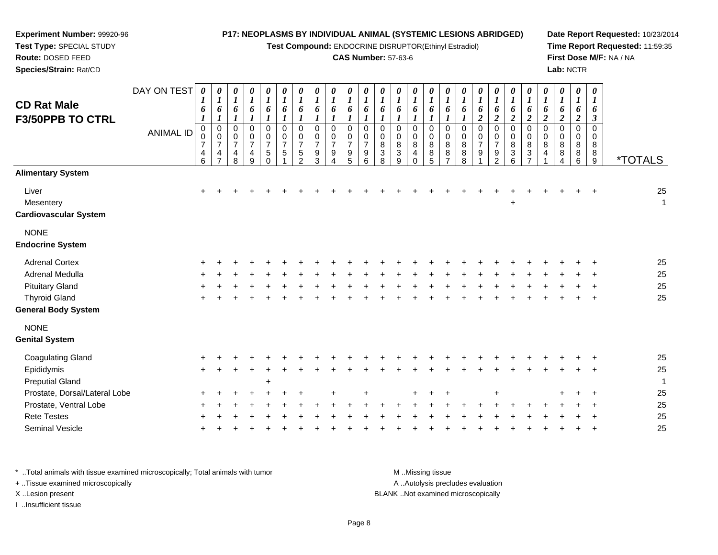#### **Experiment Number:** 99920-96**Test Type:** SPECIAL STUDY**Route:** DOSED FEED **Species/Strain:** Rat/CD**P17: NEOPLASMS BY INDIVIDUAL ANIMAL (SYSTEMIC LESIONS ABRIDGED)Test Compound:** ENDOCRINE DISRUPTOR(Ethinyl Estradiol)**CAS Number:** 57-63-6**Date Report Requested:** 10/23/2014**Time Report Requested:** 11:59:35**First Dose M/F:** NA / NA**Lab:** NCTRDAY ON TEST**CD Rat Male F3/50PPB TO CTRL**ANIMAL ID*0 1 6 1* 0 0 7 4 6*0 1 6 1* 0 0 7 4 7*0 1 6 1* 0 0 7 4 8*0 1 6 1* 0 0 7 4 9*0 1 6 1* 0 0 7 5 0*0 1 6 1* 0 0 7 5 1*0 1 6 1* 0 0 7 5 2*0 1 6 1* 0 0 7 9 3*0 1 6 1* 0 0 7 9 4*0 1 6 1* 0 0 7 9 5*0 1 6 1* 0 0 7 9 6*0 1 6 1* 0 0 8 3 8*0 1 6 1* 0 0 8 3 9*0 1 6 1* 0 0 8 4 0*0 1 6 1* 0 0 8 8 5*0 1 6 1* 0 0 8 8 7*0 1 6 1* 0 0 8 8 8*0 1 6 2* 0 0 7 9 1*0 1 6 2* 0 0 7 9 2*0 1 6 2* 0 0 8 3 6*0 1 6 2* 0 0 8 3 7*0 1 6 2* 0 0 8 4 1*0 1 6 2* 0 0 8 8 4*0 1 6 2* 0 0 8 8 6*0 1 6 3* 0 0 88<br>^ 9 \*TOTALS**Alimentary System**Liver $\mathsf{r}$  + <sup>+</sup> <sup>+</sup> <sup>+</sup> <sup>+</sup> <sup>+</sup> <sup>+</sup> <sup>+</sup> <sup>+</sup> <sup>+</sup> <sup>+</sup> <sup>+</sup> <sup>+</sup> <sup>+</sup> <sup>+</sup> <sup>+</sup> <sup>+</sup> <sup>+</sup> <sup>+</sup> <sup>+</sup> <sup>+</sup> <sup>+</sup> <sup>+</sup> <sup>+</sup> <sup>+</sup> <sup>25</sup> Mesentery <sup>+</sup> $\overline{1}$ **Cardiovascular System**NONE**Endocrine System**

| <b>Adrenal Cortex</b>      |  |  |  |  |  |  |  |  |  |  |  |  |  | 25 |  |
|----------------------------|--|--|--|--|--|--|--|--|--|--|--|--|--|----|--|
| Adrenal Medulla            |  |  |  |  |  |  |  |  |  |  |  |  |  | 25 |  |
| <b>Pituitary Gland</b>     |  |  |  |  |  |  |  |  |  |  |  |  |  | 25 |  |
| <b>Thyroid Gland</b>       |  |  |  |  |  |  |  |  |  |  |  |  |  | 25 |  |
| <b>General Body System</b> |  |  |  |  |  |  |  |  |  |  |  |  |  |    |  |
| <b>NONE</b>                |  |  |  |  |  |  |  |  |  |  |  |  |  |    |  |

| <b>Genital System</b>         |       |  |        |  |    |  |  |       |  |  |  |  |         |         |    |
|-------------------------------|-------|--|--------|--|----|--|--|-------|--|--|--|--|---------|---------|----|
| Coagulating Gland             | $+$   |  |        |  |    |  |  |       |  |  |  |  |         | $+$ $+$ | 25 |
| Epididymis                    | $+$   |  |        |  |    |  |  |       |  |  |  |  |         | $+$ $+$ | 25 |
| <b>Preputial Gland</b>        |       |  | $\div$ |  |    |  |  |       |  |  |  |  |         |         |    |
| Prostate, Dorsal/Lateral Lobe | $+$   |  |        |  | ÷. |  |  | $\pm$ |  |  |  |  | $+ + +$ |         | 25 |
| Prostate, Ventral Lobe        | ÷.    |  |        |  |    |  |  |       |  |  |  |  |         | $+$ $+$ | 25 |
| <b>Rete Testes</b>            | $+$   |  |        |  |    |  |  |       |  |  |  |  |         | $+$ $+$ | 25 |
| Seminal Vesicle               | $\pm$ |  |        |  |    |  |  |       |  |  |  |  |         | $+$ $+$ | 25 |
|                               |       |  |        |  |    |  |  |       |  |  |  |  |         |         |    |

\* ..Total animals with tissue examined microscopically; Total animals with tumor **M** ..Missing tissue M ..Missing tissue A ..Autolysis precludes evaluation + ..Tissue examined microscopically X ..Lesion present BLANK ..Not examined microscopicallyI ..Insufficient tissue

Page 8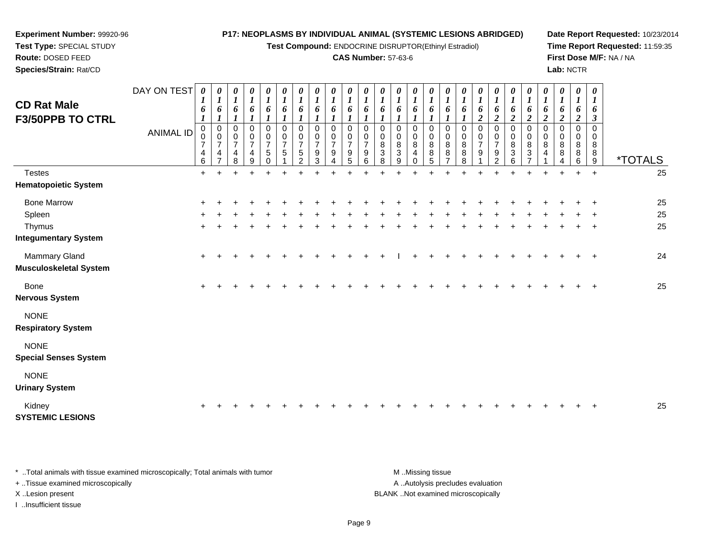**Test Compound:** ENDOCRINE DISRUPTOR(Ethinyl Estradiol)

## **CAS Number:** 57-63-6

**Date Report Requested:** 10/23/2014**Time Report Requested:** 11:59:35**First Dose M/F:** NA / NA**Lab:** NCTR

**Test Type:** SPECIAL STUDY**Route:** DOSED FEED**Species/Strain:** Rat/CD

**Experiment Number:** 99920-96

| <b>CD Rat Male</b><br><b>F3/50PPB TO CTRL</b>  | DAY ON TEST<br><b>ANIMAL ID</b> | 0<br>1<br>6<br>$\pmb{0}$<br>$\pmb{0}$     | 0<br>$\boldsymbol{l}$<br>6<br>$\boldsymbol{l}$<br>$\pmb{0}$<br>$\mathbf 0$ | 0<br>$\boldsymbol{l}$<br>6<br>$\boldsymbol{l}$<br>$\pmb{0}$<br>0 | $\boldsymbol{\theta}$<br>$\boldsymbol{l}$<br>6<br>$\boldsymbol{l}$<br>$\mathbf 0$<br>$\mathbf 0$ | 0<br>$\boldsymbol{l}$<br>6<br>0<br>$\frac{0}{7}$ | 0<br>$\boldsymbol{l}$<br>6<br>$\pmb{0}$<br>$\mathbf 0$ | 0<br>$\boldsymbol{l}$<br>6<br>$\boldsymbol{l}$<br>$\pmb{0}$<br>0 | 0<br>$\boldsymbol{l}$<br>6<br>$\mathbf{I}$<br>$\pmb{0}$<br>$\mathbf 0$ | 0<br>$\boldsymbol{l}$<br>6<br>$\mathbf 0$<br>0 | $\pmb{\theta}$<br>$\boldsymbol{l}$<br>6<br>$\mathbf 0$<br>$\mathbf 0$ | 0<br>$\boldsymbol{l}$<br>6<br>$\boldsymbol{l}$<br>$\mathbf 0$<br>$\mathbf 0$ | 0<br>$\boldsymbol{l}$<br>6<br>$\pmb{0}$<br>0     | 0<br>$\boldsymbol{l}$<br>6<br>$\mathbf 0$<br>0 | 0<br>$\boldsymbol{l}$<br>6<br>0<br>0 | 0<br>$\boldsymbol{l}$<br>6<br>$\mathbf 0$<br>$\mathbf 0$ | 0<br>$\boldsymbol{l}$<br>6<br>0<br>0 | 0<br>$\boldsymbol{l}$<br>6<br>$\boldsymbol{l}$<br>0<br>$\mathbf 0$ | 0<br>$\boldsymbol{l}$<br>6<br>$\boldsymbol{2}$<br>$\mathbf 0$<br>$\mathbf 0$ | 0<br>1<br>6<br>$\overline{2}$<br>$\pmb{0}$<br>$\pmb{0}$ | 0<br>$\boldsymbol{l}$<br>6<br>$\overline{2}$<br>0<br>0 | 0<br>$\boldsymbol{l}$<br>6<br>$\boldsymbol{2}$<br>$\pmb{0}$<br>$\mathbf 0$ | $\boldsymbol{\theta}$<br>$\boldsymbol{l}$<br>6<br>$\boldsymbol{2}$<br>$\pmb{0}$<br>0 | 0<br>$\boldsymbol{l}$<br>6<br>$\overline{2}$<br>$\mathbf 0$<br>0 | 0<br>$\boldsymbol{l}$<br>6<br>$\overline{2}$<br>$\mathbf 0$<br>0 | 0<br>$\boldsymbol{l}$<br>6<br>3<br>$\Omega$<br>$\mathbf 0$ |                       |
|------------------------------------------------|---------------------------------|-------------------------------------------|----------------------------------------------------------------------------|------------------------------------------------------------------|--------------------------------------------------------------------------------------------------|--------------------------------------------------|--------------------------------------------------------|------------------------------------------------------------------|------------------------------------------------------------------------|------------------------------------------------|-----------------------------------------------------------------------|------------------------------------------------------------------------------|--------------------------------------------------|------------------------------------------------|--------------------------------------|----------------------------------------------------------|--------------------------------------|--------------------------------------------------------------------|------------------------------------------------------------------------------|---------------------------------------------------------|--------------------------------------------------------|----------------------------------------------------------------------------|--------------------------------------------------------------------------------------|------------------------------------------------------------------|------------------------------------------------------------------|------------------------------------------------------------|-----------------------|
|                                                |                                 | $\overline{7}$<br>$\overline{4}$<br>$\,6$ | $\overline{7}$<br>4<br>$\overline{7}$                                      | $\overline{7}$<br>$\overline{\mathbf{4}}$<br>8                   | $\overline{7}$<br>$\overline{4}$<br>9                                                            | 5<br>$\Omega$                                    | $\overline{7}$<br>$\sqrt{5}$                           | $\overline{7}$<br>5<br>2                                         | $\overline{7}$<br>9<br>3                                               | $\overline{7}$<br>9<br>4                       | $\overline{7}$<br>9<br>5                                              | $\overline{7}$<br>9<br>6                                                     | $\overline{8}$<br>$\ensuremath{\mathsf{3}}$<br>8 | 8<br>$\mathbf{3}$<br>9                         | 8<br>4<br>$\Omega$                   | 8<br>8<br>5                                              | 8<br>8<br>$\overline{7}$             | 8<br>8<br>8                                                        | $\overline{7}$<br>9                                                          | $\overline{7}$<br>9<br>$\mathcal{P}$                    | 8<br>3<br>6                                            | 8<br>3<br>$\overline{\phantom{a}}$                                         | 8<br>$\overline{4}$                                                                  | 8<br>8<br>4                                                      | 8<br>$\,8\,$<br>6                                                | 8<br>8<br>9                                                | <i><b>*TOTALS</b></i> |
| <b>Testes</b><br><b>Hematopoietic System</b>   |                                 | $+$                                       | $\ddot{}$                                                                  |                                                                  |                                                                                                  |                                                  |                                                        |                                                                  |                                                                        |                                                |                                                                       |                                                                              |                                                  |                                                |                                      |                                                          |                                      |                                                                    |                                                                              |                                                         |                                                        |                                                                            |                                                                                      | $\ddot{}$                                                        | $+$                                                              | $+$                                                        | 25                    |
| <b>Bone Marrow</b>                             |                                 |                                           |                                                                            |                                                                  |                                                                                                  |                                                  |                                                        |                                                                  |                                                                        |                                                |                                                                       |                                                                              |                                                  |                                                |                                      |                                                          |                                      |                                                                    |                                                                              |                                                         |                                                        |                                                                            |                                                                                      |                                                                  |                                                                  |                                                            | 25                    |
| Spleen                                         |                                 |                                           |                                                                            |                                                                  |                                                                                                  |                                                  |                                                        |                                                                  |                                                                        |                                                |                                                                       |                                                                              |                                                  |                                                |                                      |                                                          |                                      |                                                                    |                                                                              |                                                         |                                                        |                                                                            |                                                                                      |                                                                  |                                                                  |                                                            | 25                    |
| Thymus                                         |                                 |                                           |                                                                            |                                                                  |                                                                                                  |                                                  |                                                        |                                                                  |                                                                        |                                                |                                                                       |                                                                              |                                                  |                                                |                                      |                                                          |                                      |                                                                    |                                                                              |                                                         |                                                        |                                                                            |                                                                                      |                                                                  |                                                                  |                                                            | 25                    |
| <b>Integumentary System</b>                    |                                 |                                           |                                                                            |                                                                  |                                                                                                  |                                                  |                                                        |                                                                  |                                                                        |                                                |                                                                       |                                                                              |                                                  |                                                |                                      |                                                          |                                      |                                                                    |                                                                              |                                                         |                                                        |                                                                            |                                                                                      |                                                                  |                                                                  |                                                            |                       |
| Mammary Gland<br><b>Musculoskeletal System</b> |                                 | $\ddot{}$                                 |                                                                            |                                                                  |                                                                                                  |                                                  |                                                        |                                                                  |                                                                        |                                                |                                                                       |                                                                              |                                                  |                                                |                                      |                                                          |                                      |                                                                    |                                                                              |                                                         |                                                        |                                                                            |                                                                                      |                                                                  |                                                                  |                                                            | 24                    |
| <b>Bone</b><br><b>Nervous System</b>           |                                 | $\pm$                                     |                                                                            |                                                                  |                                                                                                  |                                                  |                                                        |                                                                  |                                                                        |                                                |                                                                       |                                                                              |                                                  |                                                |                                      |                                                          |                                      |                                                                    |                                                                              |                                                         |                                                        |                                                                            |                                                                                      |                                                                  |                                                                  | $\ddot{}$                                                  | 25                    |
| <b>NONE</b><br><b>Respiratory System</b>       |                                 |                                           |                                                                            |                                                                  |                                                                                                  |                                                  |                                                        |                                                                  |                                                                        |                                                |                                                                       |                                                                              |                                                  |                                                |                                      |                                                          |                                      |                                                                    |                                                                              |                                                         |                                                        |                                                                            |                                                                                      |                                                                  |                                                                  |                                                            |                       |
| <b>NONE</b><br><b>Special Senses System</b>    |                                 |                                           |                                                                            |                                                                  |                                                                                                  |                                                  |                                                        |                                                                  |                                                                        |                                                |                                                                       |                                                                              |                                                  |                                                |                                      |                                                          |                                      |                                                                    |                                                                              |                                                         |                                                        |                                                                            |                                                                                      |                                                                  |                                                                  |                                                            |                       |
| <b>NONE</b><br><b>Urinary System</b>           |                                 |                                           |                                                                            |                                                                  |                                                                                                  |                                                  |                                                        |                                                                  |                                                                        |                                                |                                                                       |                                                                              |                                                  |                                                |                                      |                                                          |                                      |                                                                    |                                                                              |                                                         |                                                        |                                                                            |                                                                                      |                                                                  |                                                                  |                                                            |                       |
| Kidney<br><b>SYSTEMIC LESIONS</b>              |                                 |                                           |                                                                            |                                                                  |                                                                                                  |                                                  |                                                        |                                                                  |                                                                        |                                                |                                                                       |                                                                              |                                                  |                                                |                                      |                                                          |                                      |                                                                    |                                                                              |                                                         |                                                        |                                                                            |                                                                                      |                                                                  |                                                                  |                                                            | 25                    |

\* ..Total animals with tissue examined microscopically; Total animals with tumor **M** . Missing tissue M ..Missing tissue + ..Tissue examined microscopically X ..Lesion present BLANK ..Not examined microscopically

I ..Insufficient tissue

A ..Autolysis precludes evaluation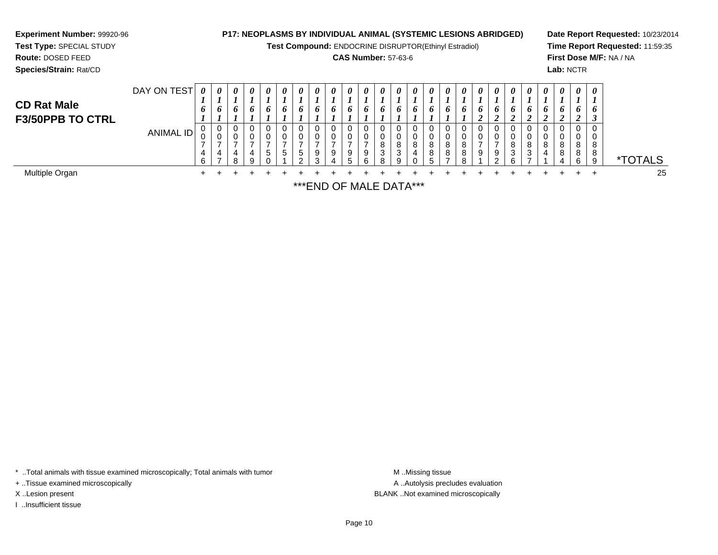| <b>Experiment Number: 99920-96</b><br>Test Type: SPECIAL STUDY<br>Route: DOSED FEED<br>Species/Strain: Rat/CD |                          |                            |                       |          |               |                            |                       |          |          |               |  |                                    | <b>P17: NEOPLASMS BY INDIVIDUAL ANIMAL (SYSTEMIC LESIONS ABRIDGED)</b><br>Test Compound: ENDOCRINE DISRUPTOR(Ethinyl Estradiol)<br><b>CAS Number: 57-63-6</b> |   |  |                       |                                 |                       |                    |   | Lab: NCTR          |                                     |                                  | Date Report Requested: 10/23/2014<br>Time Report Requested: 11:59:35<br>First Dose M/F: NA / NA |
|---------------------------------------------------------------------------------------------------------------|--------------------------|----------------------------|-----------------------|----------|---------------|----------------------------|-----------------------|----------|----------|---------------|--|------------------------------------|---------------------------------------------------------------------------------------------------------------------------------------------------------------|---|--|-----------------------|---------------------------------|-----------------------|--------------------|---|--------------------|-------------------------------------|----------------------------------|-------------------------------------------------------------------------------------------------|
| <b>CD Rat Male</b><br><b>F3/50PPB TO CTRL</b>                                                                 | DAY ON TEST<br>ANIMAL ID | 0<br>6<br>0<br>0<br>4<br>6 | 0<br>6<br>0<br>0<br>4 | $\theta$ | $\theta$<br>9 | $\boldsymbol{\theta}$<br>0 | $\boldsymbol{\theta}$ | $\theta$ | $\theta$ | $\theta$<br>9 |  | $\theta$<br>O.<br>0<br>8<br>3<br>я | $\theta$<br>0<br>0<br>8<br>q                                                                                                                                  | 8 |  | $\boldsymbol{\theta}$ | $\boldsymbol{\theta}$<br>0<br>9 | $\boldsymbol{\theta}$ | $\theta$<br>8<br>3 | 8 | $\theta$<br>8<br>8 | $\theta$<br>O.<br>U<br>8<br>8<br>6. | 0<br><sup>o</sup><br>8<br>8<br>9 | <i><b>*TOTALS</b></i>                                                                           |
| Multiple Organ                                                                                                |                          |                            |                       |          |               |                            |                       |          |          |               |  |                                    |                                                                                                                                                               |   |  |                       |                                 |                       |                    |   |                    |                                     |                                  | 25                                                                                              |

\*\*\*END OF MALE DATA\*\*\*

\* ..Total animals with tissue examined microscopically; Total animals with tumor M..Missing tissue M ..Missing tissue

+ ..Tissue examined microscopically

I ..Insufficient tissue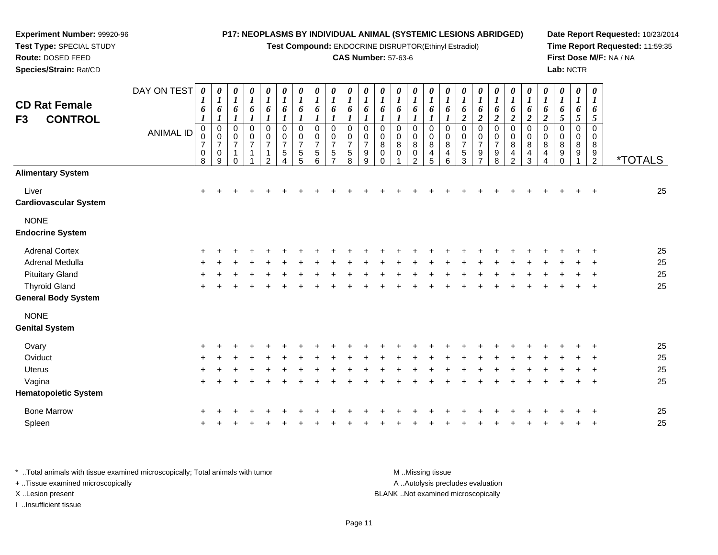**Test Compound:** ENDOCRINE DISRUPTOR(Ethinyl Estradiol)

#### **CAS Number:** 57-63-6

**Date Report Requested:** 10/23/2014**Time Report Requested:** 11:59:35**First Dose M/F:** NA / NA**Lab:** NCTR

| <b>CD Rat Female</b>                   | DAY ON TEST      | 0<br>1                                  | 0<br>$\boldsymbol{l}$                                | $\boldsymbol{\theta}$<br>$\boldsymbol{l}$                 | $\pmb{\theta}$<br>$\boldsymbol{l}$ | 0<br>$\boldsymbol{l}$                                                        | $\pmb{\theta}$<br>$\boldsymbol{l}$                 | 0<br>$\boldsymbol{l}$                        | 0<br>$\boldsymbol{l}$                                  | 0<br>$\boldsymbol{l}$                            | 0<br>$\boldsymbol{l}$                     | $\boldsymbol{\theta}$<br>1                           | 0<br>$\boldsymbol{l}$                | 0<br>$\boldsymbol{l}$                        | 0<br>$\boldsymbol{l}$                                            | $\boldsymbol{\theta}$<br>$\boldsymbol{l}$ | 0<br>$\boldsymbol{l}$                 | 0<br>$\boldsymbol{l}$                        | 0<br>$\boldsymbol{l}$                                   | $\boldsymbol{\theta}$<br>$\boldsymbol{l}$          | 0<br>$\boldsymbol{l}$                                                    | 0<br>$\boldsymbol{l}$                                  | $\pmb{\theta}$<br>$\boldsymbol{l}$ | 0<br>$\boldsymbol{l}$        | 0<br>$\boldsymbol{l}$      | 0<br>$\boldsymbol{l}$                            |                       |
|----------------------------------------|------------------|-----------------------------------------|------------------------------------------------------|-----------------------------------------------------------|------------------------------------|------------------------------------------------------------------------------|----------------------------------------------------|----------------------------------------------|--------------------------------------------------------|--------------------------------------------------|-------------------------------------------|------------------------------------------------------|--------------------------------------|----------------------------------------------|------------------------------------------------------------------|-------------------------------------------|---------------------------------------|----------------------------------------------|---------------------------------------------------------|----------------------------------------------------|--------------------------------------------------------------------------|--------------------------------------------------------|------------------------------------|------------------------------|----------------------------|--------------------------------------------------|-----------------------|
| F3<br><b>CONTROL</b>                   |                  | 6<br>$\boldsymbol{l}$                   | 6<br>$\boldsymbol{l}$                                | 6<br>$\boldsymbol{l}$                                     | 6<br>$\boldsymbol{l}$              | 6<br>$\boldsymbol{l}$                                                        | 6<br>$\boldsymbol{l}$                              | 6                                            | 6<br>1                                                 | 6<br>$\boldsymbol{l}$                            | 6                                         | 6                                                    | 6<br>$\boldsymbol{l}$                | 6<br>$\boldsymbol{l}$                        | 6<br>$\boldsymbol{l}$                                            | 6                                         | 6<br>$\boldsymbol{l}$                 | 6<br>$\boldsymbol{2}$                        | 6<br>$\boldsymbol{2}$                                   | 6<br>$\boldsymbol{2}$                              | 6<br>$\overline{2}$                                                      | 6<br>$\boldsymbol{2}$                                  | 6<br>$\boldsymbol{2}$              | 6<br>5                       | 6<br>5                     | 6<br>5                                           |                       |
|                                        | <b>ANIMAL ID</b> | $\mathbf 0$<br>$\overline{7}$<br>0<br>8 | $\pmb{0}$<br>$\mathbf 0$<br>$\overline{7}$<br>0<br>9 | $\pmb{0}$<br>$\pmb{0}$<br>$\overline{7}$<br>1<br>$\Omega$ | $\pmb{0}$<br>$\pmb{0}$<br>7        | $\mathbf 0$<br>$\pmb{0}$<br>$\overline{7}$<br>$\mathbf{1}$<br>$\overline{2}$ | $\pmb{0}$<br>$\pmb{0}$<br>$\overline{7}$<br>5<br>4 | $\mathbf 0$<br>0<br>$\overline{7}$<br>5<br>5 | $\mathbf 0$<br>$\mathbf 0$<br>$\overline{7}$<br>5<br>6 | $\Omega$<br>$\Omega$<br>$\overline{7}$<br>5<br>7 | $\Omega$<br>0<br>$\overline{7}$<br>5<br>8 | $\mathbf 0$<br>$\pmb{0}$<br>$\overline{7}$<br>9<br>9 | 0<br>$\pmb{0}$<br>8<br>0<br>$\Omega$ | $\pmb{0}$<br>$\mathbf 0$<br>8<br>$\mathbf 0$ | $\pmb{0}$<br>$\pmb{0}$<br>$\bf 8$<br>$\pmb{0}$<br>$\overline{2}$ | $\mathbf 0$<br>0<br>8<br>4<br>5           | $\pmb{0}$<br>$\pmb{0}$<br>8<br>4<br>6 | $\mathbf 0$<br>0<br>$\overline{7}$<br>5<br>3 | $\pmb{0}$<br>0<br>$\overline{7}$<br>9<br>$\overline{ }$ | $\pmb{0}$<br>$\pmb{0}$<br>$\overline{7}$<br>9<br>8 | $\pmb{0}$<br>$\pmb{0}$<br>8<br>$\overline{\mathbf{4}}$<br>$\overline{c}$ | $\mathbf 0$<br>$\mathbf 0$<br>8<br>$\overline{4}$<br>3 | $\pmb{0}$<br>0<br>$\bf8$<br>4<br>4 | 0<br>0<br>8<br>9<br>$\Omega$ | $\mathbf 0$<br>0<br>8<br>9 | $\Omega$<br>$\Omega$<br>8<br>9<br>$\overline{2}$ | <i><b>*TOTALS</b></i> |
| <b>Alimentary System</b>               |                  |                                         |                                                      |                                                           |                                    |                                                                              |                                                    |                                              |                                                        |                                                  |                                           |                                                      |                                      |                                              |                                                                  |                                           |                                       |                                              |                                                         |                                                    |                                                                          |                                                        |                                    |                              |                            |                                                  |                       |
| Liver<br><b>Cardiovascular System</b>  |                  | $\ddot{}$                               |                                                      |                                                           |                                    |                                                                              |                                                    |                                              |                                                        |                                                  |                                           |                                                      |                                      |                                              |                                                                  |                                           |                                       |                                              |                                                         |                                                    |                                                                          |                                                        |                                    |                              |                            |                                                  | 25                    |
| <b>NONE</b><br><b>Endocrine System</b> |                  |                                         |                                                      |                                                           |                                    |                                                                              |                                                    |                                              |                                                        |                                                  |                                           |                                                      |                                      |                                              |                                                                  |                                           |                                       |                                              |                                                         |                                                    |                                                                          |                                                        |                                    |                              |                            |                                                  |                       |
| <b>Adrenal Cortex</b>                  |                  |                                         |                                                      |                                                           |                                    |                                                                              |                                                    |                                              |                                                        |                                                  |                                           |                                                      |                                      |                                              |                                                                  |                                           |                                       |                                              |                                                         |                                                    |                                                                          |                                                        |                                    |                              |                            |                                                  | 25                    |
| Adrenal Medulla                        |                  |                                         |                                                      |                                                           |                                    |                                                                              |                                                    |                                              |                                                        |                                                  |                                           |                                                      |                                      |                                              |                                                                  |                                           |                                       |                                              |                                                         |                                                    |                                                                          |                                                        |                                    |                              |                            |                                                  | 25                    |
| <b>Pituitary Gland</b>                 |                  |                                         |                                                      |                                                           |                                    |                                                                              |                                                    |                                              |                                                        |                                                  |                                           |                                                      |                                      |                                              |                                                                  |                                           |                                       |                                              |                                                         |                                                    |                                                                          |                                                        |                                    |                              |                            |                                                  | 25                    |
| <b>Thyroid Gland</b>                   |                  |                                         |                                                      |                                                           |                                    |                                                                              |                                                    |                                              |                                                        |                                                  |                                           |                                                      |                                      |                                              |                                                                  |                                           |                                       |                                              |                                                         |                                                    |                                                                          |                                                        |                                    |                              |                            |                                                  | 25                    |
| <b>General Body System</b>             |                  |                                         |                                                      |                                                           |                                    |                                                                              |                                                    |                                              |                                                        |                                                  |                                           |                                                      |                                      |                                              |                                                                  |                                           |                                       |                                              |                                                         |                                                    |                                                                          |                                                        |                                    |                              |                            |                                                  |                       |
| <b>NONE</b>                            |                  |                                         |                                                      |                                                           |                                    |                                                                              |                                                    |                                              |                                                        |                                                  |                                           |                                                      |                                      |                                              |                                                                  |                                           |                                       |                                              |                                                         |                                                    |                                                                          |                                                        |                                    |                              |                            |                                                  |                       |
| <b>Genital System</b>                  |                  |                                         |                                                      |                                                           |                                    |                                                                              |                                                    |                                              |                                                        |                                                  |                                           |                                                      |                                      |                                              |                                                                  |                                           |                                       |                                              |                                                         |                                                    |                                                                          |                                                        |                                    |                              |                            |                                                  |                       |
| Ovary                                  |                  | +                                       |                                                      |                                                           |                                    |                                                                              |                                                    |                                              |                                                        |                                                  |                                           |                                                      |                                      |                                              |                                                                  |                                           |                                       |                                              |                                                         |                                                    |                                                                          |                                                        |                                    |                              |                            |                                                  | 25                    |
| Oviduct                                |                  |                                         |                                                      |                                                           |                                    |                                                                              |                                                    |                                              |                                                        |                                                  |                                           |                                                      |                                      |                                              |                                                                  |                                           |                                       |                                              |                                                         |                                                    |                                                                          |                                                        |                                    |                              |                            |                                                  | 25                    |
| <b>Uterus</b>                          |                  |                                         |                                                      |                                                           |                                    |                                                                              |                                                    |                                              |                                                        |                                                  |                                           |                                                      |                                      |                                              |                                                                  |                                           |                                       |                                              |                                                         |                                                    |                                                                          |                                                        |                                    |                              |                            |                                                  | 25                    |
| Vagina                                 |                  |                                         |                                                      |                                                           |                                    |                                                                              |                                                    |                                              |                                                        |                                                  |                                           |                                                      |                                      |                                              |                                                                  |                                           |                                       |                                              |                                                         |                                                    |                                                                          |                                                        |                                    |                              |                            | $\overline{ }$                                   | 25                    |
| <b>Hematopoietic System</b>            |                  |                                         |                                                      |                                                           |                                    |                                                                              |                                                    |                                              |                                                        |                                                  |                                           |                                                      |                                      |                                              |                                                                  |                                           |                                       |                                              |                                                         |                                                    |                                                                          |                                                        |                                    |                              |                            |                                                  |                       |
| <b>Bone Marrow</b>                     |                  |                                         |                                                      |                                                           |                                    |                                                                              |                                                    |                                              |                                                        |                                                  |                                           |                                                      |                                      |                                              |                                                                  |                                           |                                       |                                              |                                                         |                                                    |                                                                          |                                                        |                                    |                              |                            |                                                  | 25                    |
| Spleen                                 |                  |                                         |                                                      |                                                           |                                    |                                                                              |                                                    |                                              |                                                        |                                                  |                                           |                                                      |                                      |                                              |                                                                  |                                           |                                       |                                              |                                                         |                                                    |                                                                          |                                                        |                                    |                              |                            |                                                  | 25                    |

\* ..Total animals with tissue examined microscopically; Total animals with tumor **M** ...Missing tissue M ...Missing tissue A ..Autolysis precludes evaluation + ..Tissue examined microscopically X ..Lesion present BLANK ..Not examined microscopicallyI ..Insufficient tissue

**Experiment Number:** 99920-96**Test Type:** SPECIAL STUDY**Route:** DOSED FEED**Species/Strain:** Rat/CD

n  $+$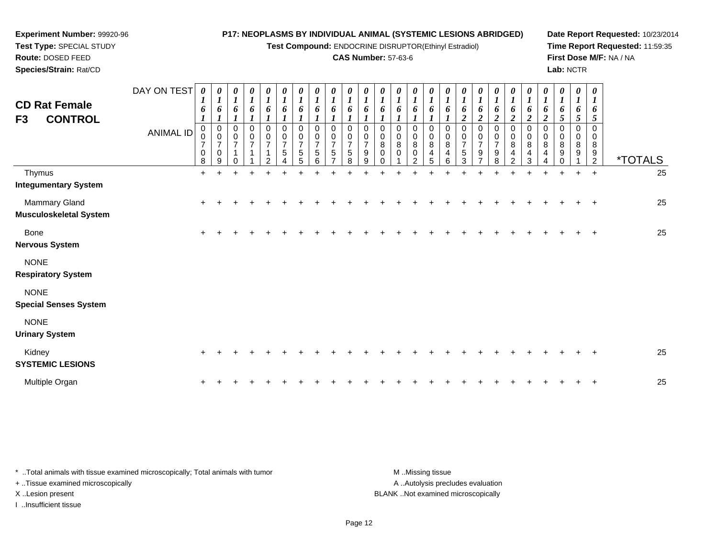**Test Compound:** ENDOCRINE DISRUPTOR(Ethinyl Estradiol)

# **CAS Number:** 57-63-6

**Date Report Requested:** 10/23/2014**Time Report Requested:** 11:59:35**First Dose M/F:** NA / NA**Lab:** NCTR

| <b>CD Rat Female</b><br>F3<br><b>CONTROL</b> | DAY ON TEST<br><b>ANIMAL ID</b> | 0<br>6<br>$\boldsymbol{l}$<br>$\pmb{0}$<br>0<br>$\overline{7}$<br>$\pmb{0}$<br>8 | 0<br>$\boldsymbol{l}$<br>6<br>$\pmb{0}$<br>$\mathbf 0$<br>$\overline{7}$<br>$\pmb{0}$<br>9 | $\boldsymbol{\theta}$<br>$\boldsymbol{l}$<br>6<br>0<br>0<br>$\overline{7}$<br>$\Omega$ | 0<br>$\boldsymbol{l}$<br>6<br>0<br>0<br>$\overline{7}$ | $\boldsymbol{\theta}$<br>$\boldsymbol{l}$<br>6<br>$\pmb{0}$<br>$\pmb{0}$<br>$\overline{7}$<br>$\mathbf{1}$<br>$\overline{2}$ | 0<br>$\boldsymbol{l}$<br>6<br>$\mathbf 0$<br>$\pmb{0}$<br>$\overline{7}$<br>$\sqrt{5}$<br>$\Delta$ | $\boldsymbol{\theta}$<br>$\boldsymbol{l}$<br>6<br>0<br>0<br>$\overline{7}$<br>$\sqrt{5}$<br>5 | $\boldsymbol{\theta}$<br>$\boldsymbol{l}$<br>6<br>0<br>0<br>$\overline{7}$<br>5<br>6 | $\boldsymbol{\theta}$<br>$\boldsymbol{l}$<br>6<br>$\mathbf 0$<br>0<br>$\overline{7}$<br>5 | $\boldsymbol{\theta}$<br>6<br>$\mathbf 0$<br>0<br>$\overline{7}$<br>5<br>8 | $\boldsymbol{\theta}$<br>$\boldsymbol{l}$<br>6<br>$\mathbf 0$<br>0<br>$\overline{7}$<br>9<br>9 | 0<br>1<br>6<br>0<br>0<br>$\bf 8$<br>0<br>$\Omega$ | $\boldsymbol{\theta}$<br>6<br>$\mathbf 0$<br>0<br>$\,8\,$<br>0 | $\boldsymbol{\theta}$<br>6<br>$\mathbf 0$<br>0<br>8<br>0<br>2 | $\boldsymbol{\theta}$<br>1<br>6<br>$\boldsymbol{l}$<br>$\mathbf 0$<br>0<br>8<br>4<br>5 | 1<br>6<br>1<br>$\pmb{0}$<br>0<br>8<br>4<br>6 | $\boldsymbol{\theta}$<br>$\boldsymbol{I}$<br>6<br>$\boldsymbol{2}$<br>$\pmb{0}$<br>0<br>$\overline{7}$<br>5<br>3 | 0<br>1<br>6<br>$\overline{c}$<br>0<br>0<br>7<br>9<br>$\overline{ }$ | 0<br>1<br>6<br>$\overline{\mathbf{c}}$<br>0<br>0<br>7<br>$\boldsymbol{9}$<br>8 | 0<br>$\boldsymbol{l}$<br>6<br>$\overline{2}$<br>$\pmb{0}$<br>0<br>8<br>4<br>$\overline{2}$ | 0<br>$\boldsymbol{l}$<br>6<br>$\boldsymbol{2}$<br>0<br>0<br>$\bf8$<br>$\overline{\mathbf{4}}$<br>3 | $\boldsymbol{\theta}$<br>$\bm{l}$<br>6<br>$\boldsymbol{2}$<br>0<br>0<br>8<br>4 | $\boldsymbol{\theta}$<br>$\boldsymbol{l}$<br>6<br>5<br>0<br>0<br>8<br>9<br>$\Omega$ | $\boldsymbol{\theta}$<br>$\boldsymbol{l}$<br>6<br>5<br>$\mathbf 0$<br>8<br>9 | 0<br>1<br>6<br>5<br>$\mathbf 0$<br>0<br>8<br>$\frac{9}{2}$ | <i><b>*TOTALS</b></i> |
|----------------------------------------------|---------------------------------|----------------------------------------------------------------------------------|--------------------------------------------------------------------------------------------|----------------------------------------------------------------------------------------|--------------------------------------------------------|------------------------------------------------------------------------------------------------------------------------------|----------------------------------------------------------------------------------------------------|-----------------------------------------------------------------------------------------------|--------------------------------------------------------------------------------------|-------------------------------------------------------------------------------------------|----------------------------------------------------------------------------|------------------------------------------------------------------------------------------------|---------------------------------------------------|----------------------------------------------------------------|---------------------------------------------------------------|----------------------------------------------------------------------------------------|----------------------------------------------|------------------------------------------------------------------------------------------------------------------|---------------------------------------------------------------------|--------------------------------------------------------------------------------|--------------------------------------------------------------------------------------------|----------------------------------------------------------------------------------------------------|--------------------------------------------------------------------------------|-------------------------------------------------------------------------------------|------------------------------------------------------------------------------|------------------------------------------------------------|-----------------------|
| Thymus<br><b>Integumentary System</b>        |                                 | $\ddot{}$                                                                        | $\ddot{}$                                                                                  | $\ddot{}$                                                                              | $+$                                                    |                                                                                                                              |                                                                                                    |                                                                                               |                                                                                      |                                                                                           |                                                                            |                                                                                                |                                                   |                                                                |                                                               |                                                                                        |                                              |                                                                                                                  |                                                                     |                                                                                |                                                                                            | $\ddot{}$                                                                                          | $\ddot{}$                                                                      | $\ddot{}$                                                                           | $+$                                                                          | $\overline{+}$                                             | 25                    |
| Mammary Gland<br>Musculoskeletal System      |                                 |                                                                                  |                                                                                            |                                                                                        |                                                        |                                                                                                                              |                                                                                                    |                                                                                               |                                                                                      |                                                                                           |                                                                            |                                                                                                |                                                   |                                                                |                                                               |                                                                                        |                                              |                                                                                                                  |                                                                     |                                                                                |                                                                                            |                                                                                                    |                                                                                |                                                                                     |                                                                              | $\pm$                                                      | 25                    |
| <b>Bone</b><br><b>Nervous System</b>         |                                 | $\ddot{}$                                                                        |                                                                                            |                                                                                        |                                                        |                                                                                                                              |                                                                                                    |                                                                                               |                                                                                      |                                                                                           |                                                                            |                                                                                                |                                                   |                                                                |                                                               |                                                                                        |                                              |                                                                                                                  |                                                                     |                                                                                |                                                                                            |                                                                                                    |                                                                                |                                                                                     |                                                                              |                                                            | 25                    |
| <b>NONE</b><br><b>Respiratory System</b>     |                                 |                                                                                  |                                                                                            |                                                                                        |                                                        |                                                                                                                              |                                                                                                    |                                                                                               |                                                                                      |                                                                                           |                                                                            |                                                                                                |                                                   |                                                                |                                                               |                                                                                        |                                              |                                                                                                                  |                                                                     |                                                                                |                                                                                            |                                                                                                    |                                                                                |                                                                                     |                                                                              |                                                            |                       |
| <b>NONE</b><br><b>Special Senses System</b>  |                                 |                                                                                  |                                                                                            |                                                                                        |                                                        |                                                                                                                              |                                                                                                    |                                                                                               |                                                                                      |                                                                                           |                                                                            |                                                                                                |                                                   |                                                                |                                                               |                                                                                        |                                              |                                                                                                                  |                                                                     |                                                                                |                                                                                            |                                                                                                    |                                                                                |                                                                                     |                                                                              |                                                            |                       |
| <b>NONE</b><br><b>Urinary System</b>         |                                 |                                                                                  |                                                                                            |                                                                                        |                                                        |                                                                                                                              |                                                                                                    |                                                                                               |                                                                                      |                                                                                           |                                                                            |                                                                                                |                                                   |                                                                |                                                               |                                                                                        |                                              |                                                                                                                  |                                                                     |                                                                                |                                                                                            |                                                                                                    |                                                                                |                                                                                     |                                                                              |                                                            |                       |
| Kidney<br><b>SYSTEMIC LESIONS</b>            |                                 | $\ddot{}$                                                                        |                                                                                            |                                                                                        |                                                        |                                                                                                                              |                                                                                                    |                                                                                               |                                                                                      |                                                                                           |                                                                            |                                                                                                |                                                   |                                                                |                                                               |                                                                                        |                                              |                                                                                                                  |                                                                     |                                                                                |                                                                                            |                                                                                                    |                                                                                |                                                                                     |                                                                              |                                                            | 25                    |
| Multiple Organ                               |                                 |                                                                                  |                                                                                            |                                                                                        |                                                        |                                                                                                                              |                                                                                                    |                                                                                               |                                                                                      |                                                                                           |                                                                            |                                                                                                |                                                   |                                                                |                                                               |                                                                                        |                                              |                                                                                                                  |                                                                     |                                                                                |                                                                                            |                                                                                                    |                                                                                |                                                                                     |                                                                              |                                                            | 25                    |

\* ..Total animals with tissue examined microscopically; Total animals with tumor **M** . Missing tissue M ..Missing tissue A ..Autolysis precludes evaluation + ..Tissue examined microscopically X ..Lesion present BLANK ..Not examined microscopicallyI ..Insufficient tissue

**Experiment Number:** 99920-96**Test Type:** SPECIAL STUDY**Route:** DOSED FEED**Species/Strain:** Rat/CD

Page 12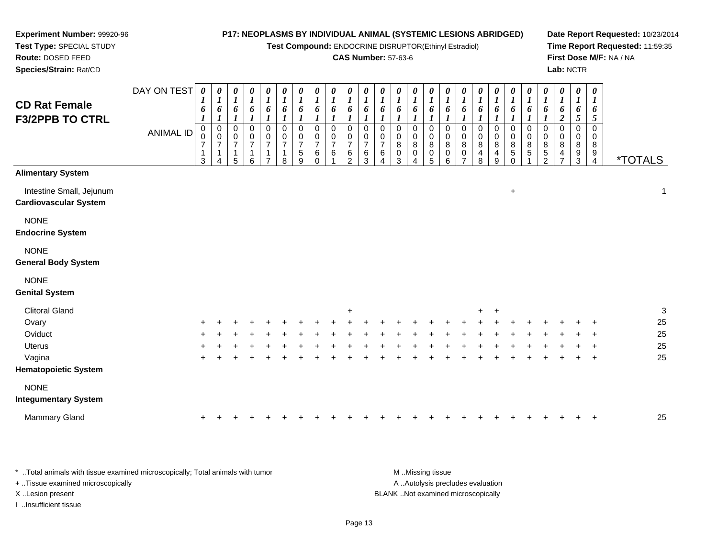**Test Compound:** ENDOCRINE DISRUPTOR(Ethinyl Estradiol)

### **CAS Number:** 57-63-6

**Date Report Requested:** 10/23/2014**Time Report Requested:** 11:59:35**First Dose M/F:** NA / NA**Lab:** NCTR

| <b>CD Rat Female</b>                                     | DAY ON TEST      | $\boldsymbol{\theta}$<br>1<br>6 | 0<br>$\bm{l}$<br>6                         | 0<br>$\boldsymbol{l}$<br>6                 | 0<br>$\boldsymbol{l}$<br>6                   | 0<br>$\boldsymbol{l}$<br>6                                                               | 0<br>$\boldsymbol{l}$<br>6                                                 | 0<br>$\boldsymbol{l}$<br>6                  | 0<br>$\boldsymbol{l}$<br>6                | 0<br>1<br>6                   | 0<br>1<br>6           | 0<br>1<br>6           | 0<br>6                                                   | 0<br>1<br>6                           | 0<br>1<br>6                     | 0<br>$\boldsymbol{I}$<br>6                | 0<br>1<br>6                           | 0<br>$\boldsymbol{l}$<br>6                         | 0<br>$\boldsymbol{l}$<br>6                                | 0<br>1<br>6           | 0<br>$\boldsymbol{l}$<br>6                              | 0<br>1<br>6            | 0<br>$\bm{l}$<br>6                          | 0<br>$\boldsymbol{l}$<br>6              | 0<br>$\boldsymbol{l}$<br>6                  | $\boldsymbol{\theta}$<br>$\boldsymbol{l}$<br>6 |                       |
|----------------------------------------------------------|------------------|---------------------------------|--------------------------------------------|--------------------------------------------|----------------------------------------------|------------------------------------------------------------------------------------------|----------------------------------------------------------------------------|---------------------------------------------|-------------------------------------------|-------------------------------|-----------------------|-----------------------|----------------------------------------------------------|---------------------------------------|---------------------------------|-------------------------------------------|---------------------------------------|----------------------------------------------------|-----------------------------------------------------------|-----------------------|---------------------------------------------------------|------------------------|---------------------------------------------|-----------------------------------------|---------------------------------------------|------------------------------------------------|-----------------------|
| <b>F3/2PPB TO CTRL</b>                                   | <b>ANIMAL ID</b> | 0<br>$\mathbf 1$<br>3           | $\mathbf 0$<br>0<br>7<br>$\mathbf{1}$<br>4 | 0<br>$\pmb{0}$<br>$\overline{7}$<br>1<br>5 | 0<br>$\mathbf 0$<br>$\overline{7}$<br>1<br>6 | $\boldsymbol{l}$<br>0<br>$\pmb{0}$<br>$\boldsymbol{7}$<br>$\mathbf{1}$<br>$\overline{7}$ | $\mathbf 0$<br>$\mathbf 0$<br>$\overline{\mathbf{7}}$<br>$\mathbf{1}$<br>8 | 0<br>0<br>$\overline{7}$<br>$\sqrt{5}$<br>9 | 0<br>0<br>$\overline{7}$<br>6<br>$\Omega$ | 0<br>0<br>$\overline{7}$<br>6 | 0<br>0<br>7<br>6<br>2 | 0<br>0<br>7<br>6<br>3 | 0<br>0<br>$\overline{7}$<br>6<br>$\overline{\mathbf{4}}$ | 0<br>0<br>$\,8\,$<br>$\mathbf 0$<br>3 | 0<br>0<br>8<br>$\mathbf 0$<br>4 | $\mathbf 0$<br>0<br>8<br>$\mathbf 0$<br>5 | 0<br>0<br>$\bf 8$<br>$\,0\,$<br>$\,6$ | 0<br>0<br>$\bf 8$<br>$\mathbf 0$<br>$\overline{7}$ | 0<br>$\pmb{0}$<br>$\bf 8$<br>$\overline{\mathbf{r}}$<br>8 | 0<br>0<br>8<br>4<br>9 | 0<br>$\pmb{0}$<br>$\bf 8$<br>$\mathbf 5$<br>$\mathbf 0$ | 0<br>0<br>$\bf 8$<br>5 | 0<br>0<br>8<br>$\sqrt{5}$<br>$\overline{c}$ | $\overline{c}$<br>0<br>0<br>8<br>4<br>7 | 5<br>0<br>0<br>$\bf 8$<br>9<br>$\mathbf{3}$ | 5<br>0<br>0<br>8<br>9<br>$\overline{4}$        | <i><b>*TOTALS</b></i> |
| <b>Alimentary System</b>                                 |                  |                                 |                                            |                                            |                                              |                                                                                          |                                                                            |                                             |                                           |                               |                       |                       |                                                          |                                       |                                 |                                           |                                       |                                                    |                                                           |                       |                                                         |                        |                                             |                                         |                                             |                                                |                       |
| Intestine Small, Jejunum<br><b>Cardiovascular System</b> |                  |                                 |                                            |                                            |                                              |                                                                                          |                                                                            |                                             |                                           |                               |                       |                       |                                                          |                                       |                                 |                                           |                                       |                                                    |                                                           |                       | $\ddot{}$                                               |                        |                                             |                                         |                                             |                                                | 1                     |
| <b>NONE</b><br><b>Endocrine System</b>                   |                  |                                 |                                            |                                            |                                              |                                                                                          |                                                                            |                                             |                                           |                               |                       |                       |                                                          |                                       |                                 |                                           |                                       |                                                    |                                                           |                       |                                                         |                        |                                             |                                         |                                             |                                                |                       |
| <b>NONE</b><br><b>General Body System</b>                |                  |                                 |                                            |                                            |                                              |                                                                                          |                                                                            |                                             |                                           |                               |                       |                       |                                                          |                                       |                                 |                                           |                                       |                                                    |                                                           |                       |                                                         |                        |                                             |                                         |                                             |                                                |                       |
| <b>NONE</b><br><b>Genital System</b>                     |                  |                                 |                                            |                                            |                                              |                                                                                          |                                                                            |                                             |                                           |                               |                       |                       |                                                          |                                       |                                 |                                           |                                       |                                                    |                                                           |                       |                                                         |                        |                                             |                                         |                                             |                                                |                       |
| <b>Clitoral Gland</b>                                    |                  |                                 |                                            |                                            |                                              |                                                                                          |                                                                            |                                             |                                           |                               | $\ddot{}$             |                       |                                                          |                                       |                                 |                                           |                                       |                                                    | $\ddot{}$                                                 | $\ddot{}$             |                                                         |                        |                                             |                                         |                                             |                                                | 3                     |
| Ovary                                                    |                  |                                 |                                            |                                            |                                              |                                                                                          |                                                                            |                                             |                                           |                               |                       |                       |                                                          |                                       |                                 |                                           |                                       |                                                    |                                                           |                       |                                                         |                        |                                             |                                         |                                             |                                                | 25                    |
| Oviduct                                                  |                  |                                 |                                            |                                            |                                              |                                                                                          |                                                                            |                                             |                                           |                               |                       |                       |                                                          |                                       |                                 |                                           |                                       |                                                    |                                                           |                       |                                                         |                        |                                             |                                         |                                             |                                                | 25                    |
| <b>Uterus</b>                                            |                  |                                 |                                            |                                            |                                              |                                                                                          |                                                                            |                                             |                                           |                               |                       |                       |                                                          |                                       |                                 |                                           |                                       |                                                    |                                                           |                       |                                                         |                        |                                             |                                         |                                             |                                                | 25                    |
| Vagina<br><b>Hematopoietic System</b>                    |                  | $\ddot{}$                       |                                            |                                            |                                              |                                                                                          |                                                                            |                                             |                                           |                               |                       |                       |                                                          |                                       |                                 |                                           |                                       |                                                    |                                                           |                       |                                                         |                        |                                             |                                         |                                             | $\ddot{}$                                      | 25                    |
| <b>NONE</b>                                              |                  |                                 |                                            |                                            |                                              |                                                                                          |                                                                            |                                             |                                           |                               |                       |                       |                                                          |                                       |                                 |                                           |                                       |                                                    |                                                           |                       |                                                         |                        |                                             |                                         |                                             |                                                |                       |
| <b>Integumentary System</b>                              |                  |                                 |                                            |                                            |                                              |                                                                                          |                                                                            |                                             |                                           |                               |                       |                       |                                                          |                                       |                                 |                                           |                                       |                                                    |                                                           |                       |                                                         |                        |                                             |                                         |                                             |                                                |                       |
| Mammary Gland                                            |                  | $\ddot{}$                       |                                            |                                            |                                              |                                                                                          |                                                                            |                                             |                                           |                               |                       |                       |                                                          |                                       |                                 |                                           |                                       |                                                    |                                                           |                       |                                                         |                        |                                             |                                         |                                             |                                                | 25                    |

\* ..Total animals with tissue examined microscopically; Total animals with tumor **M** . Missing tissue M ..Missing tissue A ..Autolysis precludes evaluation + ..Tissue examined microscopically X ..Lesion present BLANK ..Not examined microscopicallyI ..Insufficient tissue

**Experiment Number:** 99920-96**Test Type:** SPECIAL STUDY**Route:** DOSED FEED**Species/Strain:** Rat/CD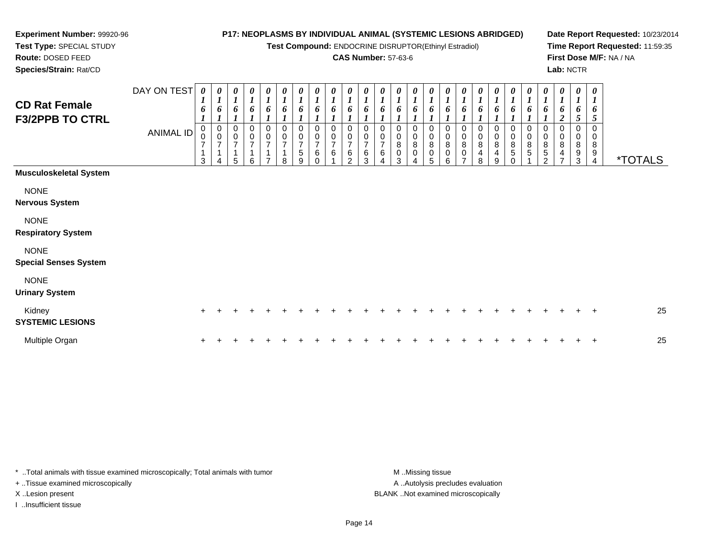**Test Compound:** ENDOCRINE DISRUPTOR(Ethinyl Estradiol)

# **CAS Number:** 57-63-6

**Date Report Requested:** 10/23/2014**Time Report Requested:** 11:59:35**First Dose M/F:** NA / NA**Lab:** NCTR

**Route:** DOSED FEED **Species/Strain:** Rat/CDDAY ON TEST *0 1***CD Rat FemaleF3/2PPB TO CTRL***0 10 10 10 10 10 10 10 10 1*

**Experiment Number:** 99920-96**Test Type:** SPECIAL STUDY

| <b>CD Rat Female</b><br><b>F3/2PPB TO CTRL</b> | DAY ON TEST<br>ANIMAL ID | $\boldsymbol{\theta}$<br>$\mathbf{I}$<br>6<br>$\mathbf 0$<br>0<br>$\overline{ }$<br>3 | 0<br>$\boldsymbol{l}$<br>6<br>-1<br>0<br>$\mathbf 0$<br>$\overline{7}$<br>$\mathbf{1}$ | 0<br>$\boldsymbol{l}$<br>6<br>0<br>$\pmb{0}$<br>$\overline{ }$<br>5 | $\frac{\theta}{I}$<br>6<br>0<br>$\pmb{0}$<br>$\overline{7}$<br>6 | 0<br>$\boldsymbol{l}$<br>6<br>0<br>$\,0\,$<br>$\overline{7}$<br>- | $\boldsymbol{\theta}$<br>$\boldsymbol{l}$<br>6<br>0<br>$\mathbf 0$<br>$\overline{7}$<br>1<br>8 | 0<br>$\boldsymbol{l}$<br>6<br>$\Omega$<br>0<br>$\overline{7}$<br>5<br>9 | 0<br>$\boldsymbol{l}$<br>6<br>0<br>0<br>$\overline{ }$<br>6<br>$\Omega$ | 0<br>$\boldsymbol{l}$<br>$\overline{7}$<br>6 | 0<br>$\boldsymbol{l}$<br>6<br>$\Omega$<br>0<br>$\overline{7}$<br>$\,6\,$<br>$\mathfrak{p}$ | 0<br>$\boldsymbol{l}$<br>6<br>0<br>0<br>$\overline{7}$<br>$\,6$<br>3 | 0<br>$\boldsymbol{l}$<br>6<br>0<br>$\overline{7}$<br>$\,6\,$<br>$\overline{\mathbf{4}}$ | $\boldsymbol{\theta}$<br>$\boldsymbol{l}$<br>6<br>0<br>0<br>$\bf8$<br>$\pmb{0}$<br>3 | 0<br>$\boldsymbol{l}$<br>6<br>0<br>$\pmb{0}$<br>$\bf 8$<br>0<br>4 | 0<br>$\boldsymbol{l}$<br>6<br>0<br>$\pmb{0}$<br>8<br>0<br>5 | 0<br>$\boldsymbol{l}$<br>0<br>8<br>0<br>6 | 0<br>$\boldsymbol{l}$<br>6<br>0<br>$\pmb{0}$<br>$\bf 8$<br>0 | $\frac{\theta}{I}$<br>6<br>0<br>0<br>8<br>4<br>8 | 0<br>$\boldsymbol{l}$<br>6<br>$\,0\,$<br>8<br>$\overline{4}$<br>9 | 0<br>$\boldsymbol{l}$<br>6<br>0<br>0<br>$\bf8$<br>$\,$ 5 $\,$<br>$\Omega$ | 0<br>$\mathbf{I}$<br>6<br>$\Omega$<br>0<br>8<br>5 | 0<br>$\boldsymbol{l}$<br>0<br>0<br>8<br>5<br>$\overline{2}$ | 0<br>$\boldsymbol{l}$<br>$\boldsymbol{2}$<br>8<br>4 | 0<br>$\boldsymbol{l}$<br>6<br>5<br>0<br>$\pmb{0}$<br>$\,8\,$<br>9<br>3 | $\boldsymbol{\theta}$<br>6<br>5<br>0<br>0<br>8<br>$\frac{9}{4}$ | <i><b>*TOTALS</b></i> |
|------------------------------------------------|--------------------------|---------------------------------------------------------------------------------------|----------------------------------------------------------------------------------------|---------------------------------------------------------------------|------------------------------------------------------------------|-------------------------------------------------------------------|------------------------------------------------------------------------------------------------|-------------------------------------------------------------------------|-------------------------------------------------------------------------|----------------------------------------------|--------------------------------------------------------------------------------------------|----------------------------------------------------------------------|-----------------------------------------------------------------------------------------|--------------------------------------------------------------------------------------|-------------------------------------------------------------------|-------------------------------------------------------------|-------------------------------------------|--------------------------------------------------------------|--------------------------------------------------|-------------------------------------------------------------------|---------------------------------------------------------------------------|---------------------------------------------------|-------------------------------------------------------------|-----------------------------------------------------|------------------------------------------------------------------------|-----------------------------------------------------------------|-----------------------|
| <b>Musculoskeletal System</b>                  |                          |                                                                                       |                                                                                        |                                                                     |                                                                  |                                                                   |                                                                                                |                                                                         |                                                                         |                                              |                                                                                            |                                                                      |                                                                                         |                                                                                      |                                                                   |                                                             |                                           |                                                              |                                                  |                                                                   |                                                                           |                                                   |                                                             |                                                     |                                                                        |                                                                 |                       |
| <b>NONE</b><br><b>Nervous System</b>           |                          |                                                                                       |                                                                                        |                                                                     |                                                                  |                                                                   |                                                                                                |                                                                         |                                                                         |                                              |                                                                                            |                                                                      |                                                                                         |                                                                                      |                                                                   |                                                             |                                           |                                                              |                                                  |                                                                   |                                                                           |                                                   |                                                             |                                                     |                                                                        |                                                                 |                       |
| <b>NONE</b><br><b>Respiratory System</b>       |                          |                                                                                       |                                                                                        |                                                                     |                                                                  |                                                                   |                                                                                                |                                                                         |                                                                         |                                              |                                                                                            |                                                                      |                                                                                         |                                                                                      |                                                                   |                                                             |                                           |                                                              |                                                  |                                                                   |                                                                           |                                                   |                                                             |                                                     |                                                                        |                                                                 |                       |
| <b>NONE</b><br><b>Special Senses System</b>    |                          |                                                                                       |                                                                                        |                                                                     |                                                                  |                                                                   |                                                                                                |                                                                         |                                                                         |                                              |                                                                                            |                                                                      |                                                                                         |                                                                                      |                                                                   |                                                             |                                           |                                                              |                                                  |                                                                   |                                                                           |                                                   |                                                             |                                                     |                                                                        |                                                                 |                       |
| <b>NONE</b><br><b>Urinary System</b>           |                          |                                                                                       |                                                                                        |                                                                     |                                                                  |                                                                   |                                                                                                |                                                                         |                                                                         |                                              |                                                                                            |                                                                      |                                                                                         |                                                                                      |                                                                   |                                                             |                                           |                                                              |                                                  |                                                                   |                                                                           |                                                   |                                                             |                                                     |                                                                        |                                                                 |                       |
| Kidney<br><b>SYSTEMIC LESIONS</b>              |                          | $\ddot{}$                                                                             |                                                                                        |                                                                     |                                                                  |                                                                   |                                                                                                |                                                                         |                                                                         |                                              |                                                                                            |                                                                      |                                                                                         |                                                                                      |                                                                   |                                                             |                                           |                                                              |                                                  |                                                                   |                                                                           |                                                   |                                                             |                                                     |                                                                        | $\overline{+}$                                                  | 25                    |
| Multiple Organ                                 |                          |                                                                                       |                                                                                        |                                                                     |                                                                  |                                                                   |                                                                                                |                                                                         |                                                                         |                                              |                                                                                            |                                                                      |                                                                                         |                                                                                      |                                                                   |                                                             |                                           |                                                              |                                                  |                                                                   |                                                                           |                                                   |                                                             |                                                     |                                                                        | $\ddot{}$                                                       | 25                    |

\* ..Total animals with tissue examined microscopically; Total animals with tumor **M** ...Missing tissue M ...Missing tissue A .. Autolysis precludes evaluation + ..Tissue examined microscopically X ..Lesion present BLANK ..Not examined microscopicallyI ..Insufficient tissue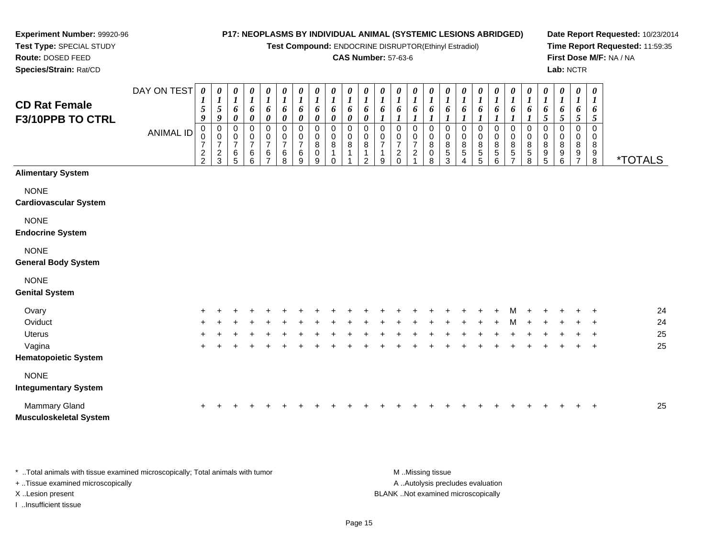*0 1*

**Test Compound:** ENDOCRINE DISRUPTOR(Ethinyl Estradiol)

## **CAS Number:** 57-63-6

*0 1*

*0 1*

*0 1*

*0 1*

*0 1*

*0 16*

*0 1*

*0*

*1 6 5*

*6 1*

**Date Report Requested:** 10/23/2014**Time Report Requested:** 11:59:35**First Dose M/F:** NA / NA**Lab:** NCTR

8 \*TOTALS

| <b>CD Rat Female</b><br><b>F3/10PPB TO CTRL</b> |           | $\mathbf I$<br>5<br>9         | 5<br>9                                           | 1<br>6<br>0                           | ı<br>6<br>0                | 6<br>0           | 6<br>0           | 6<br>0           | 6<br>0           | 6<br>0      | 1<br>6<br>0 | 6<br>0      | 6           | 6                | 6                | 6                |  |
|-------------------------------------------------|-----------|-------------------------------|--------------------------------------------------|---------------------------------------|----------------------------|------------------|------------------|------------------|------------------|-------------|-------------|-------------|-------------|------------------|------------------|------------------|--|
|                                                 | ANIMAL ID | 0<br>0<br>7<br>$\overline{c}$ | 0<br>$\mathbf 0$<br>7<br>$\overline{\mathbf{c}}$ | 0<br>$\pmb{0}$<br>$\overline{7}$<br>6 | 0<br>$\mathbf 0$<br>7<br>6 | 0<br>0<br>7<br>6 | 0<br>0<br>7<br>6 | 0<br>0<br>7<br>6 | 0<br>0<br>8<br>0 | 0<br>0<br>8 | 0<br>0<br>8 | 0<br>0<br>8 | 0<br>0<br>7 | 0<br>0<br>7<br>2 | 0<br>0<br>7<br>2 | 0<br>0<br>8<br>0 |  |
|                                                 |           | $\overline{2}$                | 3                                                | 5                                     | 6                          | 7                | 8                | 9                | 9                | 0           |             | 2           | 9           |                  |                  | 8                |  |
| <b>Alimentary System</b>                        |           |                               |                                                  |                                       |                            |                  |                  |                  |                  |             |             |             |             |                  |                  |                  |  |
| <b>NONE</b>                                     |           |                               |                                                  |                                       |                            |                  |                  |                  |                  |             |             |             |             |                  |                  |                  |  |
| <b>Cardiovascular System</b>                    |           |                               |                                                  |                                       |                            |                  |                  |                  |                  |             |             |             |             |                  |                  |                  |  |
| <b>NONE</b>                                     |           |                               |                                                  |                                       |                            |                  |                  |                  |                  |             |             |             |             |                  |                  |                  |  |
| <b>Endocrine System</b>                         |           |                               |                                                  |                                       |                            |                  |                  |                  |                  |             |             |             |             |                  |                  |                  |  |
| <b>NONE</b>                                     |           |                               |                                                  |                                       |                            |                  |                  |                  |                  |             |             |             |             |                  |                  |                  |  |
| <b>General Body System</b>                      |           |                               |                                                  |                                       |                            |                  |                  |                  |                  |             |             |             |             |                  |                  |                  |  |
| <b>NONE</b>                                     |           |                               |                                                  |                                       |                            |                  |                  |                  |                  |             |             |             |             |                  |                  |                  |  |
| <b>Genital System</b>                           |           |                               |                                                  |                                       |                            |                  |                  |                  |                  |             |             |             |             |                  |                  |                  |  |

*0 1*

*0 1*

*0 1*

*0 1*

*0 1*

*0 1*

*0 1*

*0 1*

DAY ON TEST *0 1*

**Experiment Number:** 99920-96**Test Type:** SPECIAL STUDY**Route:** DOSED FEED**Species/Strain:** Rat/CD

| Ovary                         | $+$ | $+$ | $+$ |  | ÷ |     |    |       | $+$   | $+$ |  | $+$ | $+$ $-$ |     |        | $+$ $+$ $+$ $+$ |         |     | M + | $+$ |     | $+$ $+$ |     | 24 |
|-------------------------------|-----|-----|-----|--|---|-----|----|-------|-------|-----|--|-----|---------|-----|--------|-----------------|---------|-----|-----|-----|-----|---------|-----|----|
| Oviduct                       | $+$ | $+$ | $+$ |  |   | $+$ | ÷. | $\pm$ | $\pm$ | $+$ |  | ÷.  | $+$     | $+$ | $+$    |                 | $+$ $+$ | M   | $+$ | $+$ | $+$ | $+$ $+$ |     | 24 |
| <b>Uterus</b>                 | $+$ |     |     |  |   |     |    |       | $+$   | $+$ |  |     | $+$     |     | $\div$ | $+$             | $+$     | $+$ | $+$ | $+$ |     | $+$ $+$ |     | 25 |
| Vagina                        | $+$ |     |     |  |   |     |    |       | $\pm$ |     |  |     |         |     |        |                 |         |     |     |     |     | $+$ $-$ | $+$ | 25 |
| <b>Hematopoietic System</b>   |     |     |     |  |   |     |    |       |       |     |  |     |         |     |        |                 |         |     |     |     |     |         |     |    |
| <b>NONE</b>                   |     |     |     |  |   |     |    |       |       |     |  |     |         |     |        |                 |         |     |     |     |     |         |     |    |
| <b>Integumentary System</b>   |     |     |     |  |   |     |    |       |       |     |  |     |         |     |        |                 |         |     |     |     |     |         |     |    |
| Mammary Gland                 | $+$ |     |     |  |   |     |    |       |       |     |  |     |         |     |        |                 |         |     |     |     |     | $+$ $+$ |     | 25 |
| <b>Musculoskeletal System</b> |     |     |     |  |   |     |    |       |       |     |  |     |         |     |        |                 |         |     |     |     |     |         |     |    |

\* ..Total animals with tissue examined microscopically; Total animals with tumor **M** ..Missing tissue M ..Missing tissue A ..Autolysis precludes evaluation + ..Tissue examined microscopically X ..Lesion present BLANK ..Not examined microscopicallyI ..Insufficient tissue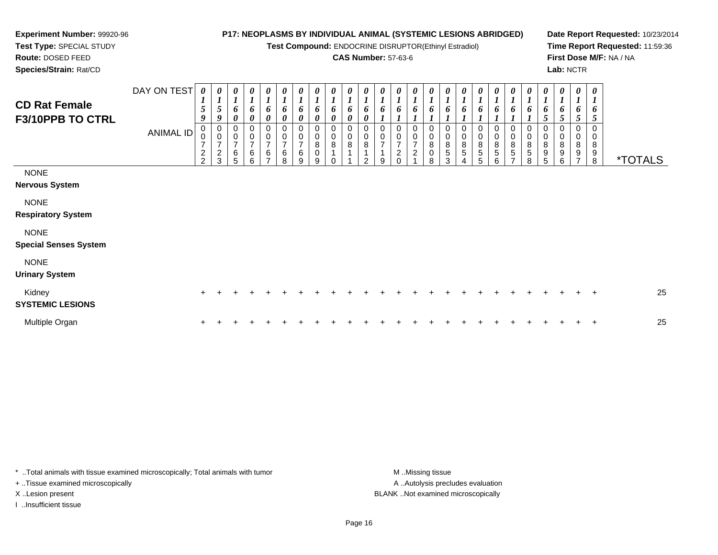# **Experiment Number:** 99920-96**Test Type:** SPECIAL STUDY

**Route:** DOSED FEED

**Species/Strain:** Rat/CD

# **P17: NEOPLASMS BY INDIVIDUAL ANIMAL (SYSTEMIC LESIONS ABRIDGED)**

**Test Compound:** ENDOCRINE DISRUPTOR(Ethinyl Estradiol)

# **CAS Number:** 57-63-6

**Date Report Requested:** 10/23/2014**Time Report Requested:** 11:59:36**First Dose M/F:** NA / NA**Lab:** NCTR

| <b>CD Rat Female</b><br><b>F3/10PPB TO CTRL</b> | DAY ON TEST<br>ANIMAL ID | 0<br>1<br>5<br>9<br>0<br>0<br>$\overline{7}$<br>$\frac{2}{2}$ | 0<br>$\overline{ }$<br>5<br>9<br>0<br>$\mathsf 0$<br>$\overline{7}$<br>$\sqrt{2}$<br>3 | 0<br>$\boldsymbol{l}$<br>6<br>$\boldsymbol{\theta}$<br>0<br>$\pmb{0}$<br>$\overline{7}$<br>6<br>5 | $\boldsymbol{l}$<br>6<br>$\boldsymbol{\theta}$<br>$\mathbf 0$<br>$\overline{7}$<br>6<br>6 | 0<br>$\boldsymbol{l}$<br>6<br>$\boldsymbol{\theta}$<br>0<br>$\pmb{0}$<br>$\overline{7}$<br>$\,6\,$<br>⇁ | 0<br>6<br>0<br>0<br>$\begin{array}{c} 0 \\ 7 \end{array}$<br>$\,6$<br>8 | 0<br>$\boldsymbol{l}$<br>6<br>0<br>$\frac{0}{7}$<br>$\,6\,$<br>9 | 0<br>6<br>0<br>0<br>$\pmb{0}$<br>$\,8\,$<br>$\pmb{0}$<br>9 | 0<br>6<br>0<br>0<br>$\pmb{0}$<br>8 | 0<br>$\boldsymbol{l}$<br>6<br>$\boldsymbol{\theta}$<br>0<br>$\pmb{0}$<br>8 | $\boldsymbol{l}$<br>6<br>$\boldsymbol{\theta}$<br>$\pmb{0}$<br>8<br>$\Omega$ | 0<br>$\boldsymbol{l}$<br>6<br>0<br>$\frac{0}{7}$<br>9 | 0<br>$\boldsymbol{l}$<br>6<br>0<br>$\frac{0}{7}$<br>$\mathbf{2}$<br>$\Omega$ | 0<br>$\boldsymbol{l}$<br>6<br>0<br>$\begin{smallmatrix}0\\7\end{smallmatrix}$<br>$\overline{c}$ | 0<br>$\mathbf{I}$<br>6<br>0<br>$\pmb{0}$<br>8<br>$\pmb{0}$<br>8 | 0<br>$\boldsymbol{l}$<br>6<br>0<br>$\pmb{0}$<br>8<br>5<br>3 | 0<br>$\boldsymbol{l}$<br>6<br>0<br>0<br>$\frac{8}{5}$<br>4 | 0<br>$\boldsymbol{l}$<br>6<br>0<br>$\pmb{0}$<br>$\bf8$<br>$\sqrt{5}$<br>5 | 0<br>$\boldsymbol{l}$<br>6<br>0<br>$\pmb{0}$<br>$\bf 8$<br>$\mathbf 5$<br>6 | 0<br>6<br>0<br>$\pmb{0}$<br>$\, 8$<br>$\,$ 5 $\,$<br>$\overline{ }$ | 0<br>$\boldsymbol{l}$<br>6<br>0<br>$\pmb{0}$<br>$\bf 8$<br>5<br>8 | 0<br>6<br>5<br>0<br>$\pmb{0}$<br>8<br>9<br>5 | 0<br>$\boldsymbol{l}$<br>6<br>5<br>0<br>$\mathbf 0$<br>8<br>9<br>6 | 0<br>$\boldsymbol{l}$<br>6<br>$\overline{5}$<br>0<br>0<br>$\bf8$<br>9 | $\boldsymbol{\theta}$<br>$\boldsymbol{l}$<br>6<br>$\overline{5}$<br>$\mathbf 0$<br>$\mathbf 0$<br>$\bf 8$<br>$\boldsymbol{9}$<br>8 | <i><b>*TOTALS</b></i> |
|-------------------------------------------------|--------------------------|---------------------------------------------------------------|----------------------------------------------------------------------------------------|---------------------------------------------------------------------------------------------------|-------------------------------------------------------------------------------------------|---------------------------------------------------------------------------------------------------------|-------------------------------------------------------------------------|------------------------------------------------------------------|------------------------------------------------------------|------------------------------------|----------------------------------------------------------------------------|------------------------------------------------------------------------------|-------------------------------------------------------|------------------------------------------------------------------------------|-------------------------------------------------------------------------------------------------|-----------------------------------------------------------------|-------------------------------------------------------------|------------------------------------------------------------|---------------------------------------------------------------------------|-----------------------------------------------------------------------------|---------------------------------------------------------------------|-------------------------------------------------------------------|----------------------------------------------|--------------------------------------------------------------------|-----------------------------------------------------------------------|------------------------------------------------------------------------------------------------------------------------------------|-----------------------|
| <b>NONE</b><br><b>Nervous System</b>            |                          |                                                               |                                                                                        |                                                                                                   |                                                                                           |                                                                                                         |                                                                         |                                                                  |                                                            |                                    |                                                                            |                                                                              |                                                       |                                                                              |                                                                                                 |                                                                 |                                                             |                                                            |                                                                           |                                                                             |                                                                     |                                                                   |                                              |                                                                    |                                                                       |                                                                                                                                    |                       |
| <b>NONE</b><br><b>Respiratory System</b>        |                          |                                                               |                                                                                        |                                                                                                   |                                                                                           |                                                                                                         |                                                                         |                                                                  |                                                            |                                    |                                                                            |                                                                              |                                                       |                                                                              |                                                                                                 |                                                                 |                                                             |                                                            |                                                                           |                                                                             |                                                                     |                                                                   |                                              |                                                                    |                                                                       |                                                                                                                                    |                       |
| <b>NONE</b><br><b>Special Senses System</b>     |                          |                                                               |                                                                                        |                                                                                                   |                                                                                           |                                                                                                         |                                                                         |                                                                  |                                                            |                                    |                                                                            |                                                                              |                                                       |                                                                              |                                                                                                 |                                                                 |                                                             |                                                            |                                                                           |                                                                             |                                                                     |                                                                   |                                              |                                                                    |                                                                       |                                                                                                                                    |                       |
| <b>NONE</b><br><b>Urinary System</b>            |                          |                                                               |                                                                                        |                                                                                                   |                                                                                           |                                                                                                         |                                                                         |                                                                  |                                                            |                                    |                                                                            |                                                                              |                                                       |                                                                              |                                                                                                 |                                                                 |                                                             |                                                            |                                                                           |                                                                             |                                                                     |                                                                   |                                              |                                                                    |                                                                       |                                                                                                                                    |                       |
| Kidney<br><b>SYSTEMIC LESIONS</b>               |                          | $+$                                                           |                                                                                        |                                                                                                   |                                                                                           |                                                                                                         |                                                                         |                                                                  |                                                            |                                    |                                                                            |                                                                              |                                                       |                                                                              |                                                                                                 |                                                                 |                                                             |                                                            |                                                                           |                                                                             |                                                                     |                                                                   |                                              |                                                                    |                                                                       | $+$                                                                                                                                | 25                    |
| Multiple Organ                                  |                          |                                                               |                                                                                        |                                                                                                   |                                                                                           |                                                                                                         |                                                                         |                                                                  |                                                            |                                    |                                                                            |                                                                              |                                                       |                                                                              |                                                                                                 |                                                                 |                                                             |                                                            |                                                                           |                                                                             |                                                                     |                                                                   |                                              |                                                                    |                                                                       | $\mathbf +$                                                                                                                        | 25                    |

\* ..Total animals with tissue examined microscopically; Total animals with tumor **M** . Missing tissue M ..Missing tissue

+ ..Tissue examined microscopically

I ..Insufficient tissue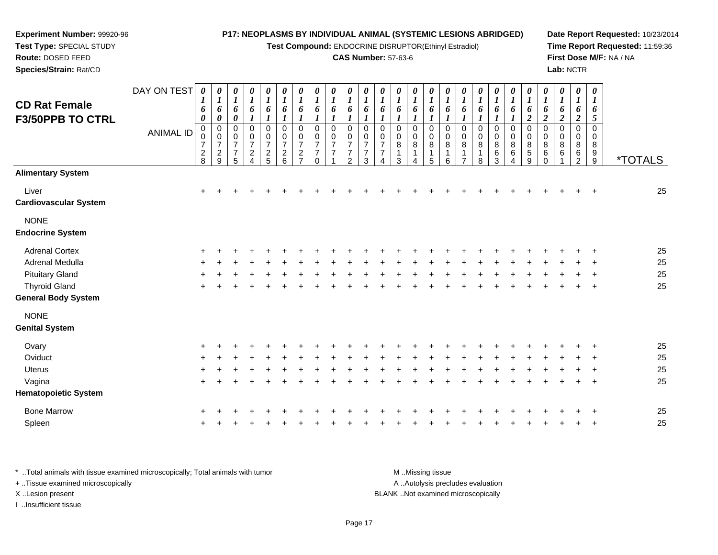#### **Experiment Number:** 99920-96**Test Type:** SPECIAL STUDY**Route:** DOSED FEED **Species/Strain:** Rat/CD**P17: NEOPLASMS BY INDIVIDUAL ANIMAL (SYSTEMIC LESIONS ABRIDGED)Test Compound:** ENDOCRINE DISRUPTOR(Ethinyl Estradiol)**CAS Number:** 57-63-6**Date Report Requested:** 10/23/2014**Time Report Requested:** 11:59:36**First Dose M/F:** NA / NA**Lab:** NCTRDAY ON TEST**CD Rat Female F3/50PPB TO CTRL**ANIMAL ID*0 1 6 0* 0 0 7 2 8*0 1 6 0* 0 0 7 2 9*0 1 6 0* 0 0 7 7 5*0 1 6 1* 0 0 7 2 4*0 1 6 1* 0 0 7 2 5*0 1 6 1* 0 0 7 2 6*0 1 6 1* 0 0 7 2 7*0 1 6 1* 0 0 7 7 0*0 1 6 1* 0 0 7 7 1*0 1 6 1* 0 0 7 7 2*0 1 6 1* 0 0 7 7 3*0 1 6 1* 0 0 7 7 4*0 1 6 1* 0 0 8 1 3*0 1 6 1* 0 0 8 1 4*0 1 6 1* 0 0 8 1 5*0 1 6 1* 0 0 8 1 6*0 1 6 1* 0 0 8 1 7*0 1 6 1* 0 0 8 1 8*0 1 6 1* 0 0 8 6 3*0 1 6 1* 0 0 8 6 4*0 1 6 2* 0 0 8 5 9*0 1 6 2* 0 0 8 6 0*0 1 6 2* 0 0 8 6 1*0 1 6 2* 0 0 8 6 2*0 1 6 5* 0 0 89<br>^ 9 \*TOTALS**Alimentary System**Liver $\mathsf{r}$  + <sup>+</sup> <sup>+</sup> <sup>+</sup> <sup>+</sup> <sup>+</sup> <sup>+</sup> <sup>+</sup> <sup>+</sup> <sup>+</sup> <sup>+</sup> <sup>+</sup> <sup>+</sup> <sup>+</sup> <sup>+</sup> <sup>+</sup> <sup>+</sup> <sup>+</sup> <sup>+</sup> <sup>+</sup> <sup>+</sup> <sup>+</sup> <sup>+</sup> <sup>+</sup> <sup>+</sup> <sup>25</sup> **Cardiovascular System**NONE **Endocrine System**Adrenal Cortex $\times$  + <sup>+</sup> <sup>+</sup> <sup>+</sup> <sup>+</sup> <sup>+</sup> <sup>+</sup> <sup>+</sup> <sup>+</sup> <sup>+</sup> <sup>+</sup> <sup>+</sup> <sup>+</sup> <sup>+</sup> <sup>+</sup> <sup>+</sup> <sup>+</sup> <sup>+</sup> <sup>+</sup> <sup>+</sup> <sup>+</sup> <sup>+</sup> <sup>+</sup> <sup>+</sup> <sup>+</sup> <sup>25</sup> Adrenal Medullaa  $+$  <sup>+</sup> <sup>+</sup> <sup>+</sup> <sup>+</sup> <sup>+</sup> <sup>+</sup> <sup>+</sup> <sup>+</sup> <sup>+</sup> <sup>+</sup> <sup>+</sup> <sup>+</sup> <sup>+</sup> <sup>+</sup> <sup>+</sup> <sup>+</sup> <sup>+</sup> <sup>+</sup> <sup>+</sup> <sup>+</sup> <sup>+</sup> <sup>+</sup> <sup>+</sup> <sup>+</sup> <sup>25</sup> Pituitary Gland $\alpha$  + <sup>+</sup> <sup>+</sup> <sup>+</sup> <sup>+</sup> <sup>+</sup> <sup>+</sup> <sup>+</sup> <sup>+</sup> <sup>+</sup> <sup>+</sup> <sup>+</sup> <sup>+</sup> <sup>+</sup> <sup>+</sup> <sup>+</sup> <sup>+</sup> <sup>+</sup> <sup>+</sup> <sup>+</sup> <sup>+</sup> <sup>+</sup> <sup>+</sup> <sup>+</sup> <sup>+</sup> <sup>25</sup> Thyroid Glandd  $+$  <sup>+</sup> <sup>+</sup> <sup>+</sup> <sup>+</sup> <sup>+</sup> <sup>+</sup> <sup>+</sup> <sup>+</sup> <sup>+</sup> <sup>+</sup> <sup>+</sup> <sup>+</sup> <sup>+</sup> <sup>+</sup> <sup>+</sup> <sup>+</sup> <sup>+</sup> <sup>+</sup> <sup>+</sup> <sup>+</sup> <sup>+</sup> <sup>+</sup> <sup>+</sup> <sup>+</sup> <sup>25</sup> **General Body System**NONE **Genital SystemOvary**

| * Total animals with tissue examined microscopically; Total animals with tumor | M Missing tissue                   |
|--------------------------------------------------------------------------------|------------------------------------|
| + Tissue examined microscopically                                              | A Autolysis precludes evaluation   |
| X Lesion present                                                               | BLANK Not examined microscopically |
| Insufficient tissue                                                            |                                    |

<sup>+</sup>

 $\mathfrak{t}$  +

<sup>+</sup>

a  $+$ 

n  $+$ 

**Oviduct** 

Uterus

Vagina

Spleen

**Hematopoietic System**

Bone Marrow

<sup>+</sup> <sup>+</sup> <sup>+</sup> <sup>+</sup> <sup>+</sup> <sup>+</sup> <sup>+</sup> <sup>+</sup> <sup>+</sup> <sup>+</sup> <sup>+</sup> <sup>+</sup> <sup>+</sup> <sup>+</sup> <sup>+</sup> <sup>+</sup> <sup>+</sup> <sup>+</sup> <sup>+</sup> <sup>+</sup> <sup>+</sup> <sup>+</sup> <sup>+</sup> <sup>+</sup> <sup>+</sup> <sup>25</sup>

<sup>+</sup> <sup>+</sup> <sup>+</sup> <sup>+</sup> <sup>+</sup> <sup>+</sup> <sup>+</sup> <sup>+</sup> <sup>+</sup> <sup>+</sup> <sup>+</sup> <sup>+</sup> <sup>+</sup> <sup>+</sup> <sup>+</sup> <sup>+</sup> <sup>+</sup> <sup>+</sup> <sup>+</sup> <sup>+</sup> <sup>+</sup> <sup>+</sup> <sup>+</sup> <sup>+</sup> <sup>25</sup>

<sup>+</sup> <sup>+</sup> <sup>+</sup> <sup>+</sup> <sup>+</sup> <sup>+</sup> <sup>+</sup> <sup>+</sup> <sup>+</sup> <sup>+</sup> <sup>+</sup> <sup>+</sup> <sup>+</sup> <sup>+</sup> <sup>+</sup> <sup>+</sup> <sup>+</sup> <sup>+</sup> <sup>+</sup> <sup>+</sup> <sup>+</sup> <sup>+</sup> <sup>+</sup> <sup>+</sup> <sup>25</sup>

<sup>+</sup> <sup>+</sup> <sup>+</sup> <sup>+</sup> <sup>+</sup> <sup>+</sup> <sup>+</sup> <sup>+</sup> <sup>+</sup> <sup>+</sup> <sup>+</sup> <sup>+</sup> <sup>+</sup> <sup>+</sup> <sup>+</sup> <sup>+</sup> <sup>+</sup> <sup>+</sup> <sup>+</sup> <sup>+</sup> <sup>+</sup> <sup>+</sup> <sup>+</sup> <sup>+</sup> <sup>25</sup>

<sup>+</sup> <sup>+</sup> <sup>+</sup> <sup>+</sup> <sup>+</sup> <sup>+</sup> <sup>+</sup> <sup>+</sup> <sup>+</sup> <sup>+</sup> <sup>+</sup> <sup>+</sup> <sup>+</sup> <sup>+</sup> <sup>+</sup> <sup>+</sup> <sup>+</sup> <sup>+</sup> <sup>+</sup> <sup>+</sup> <sup>+</sup> <sup>+</sup> <sup>+</sup> <sup>+</sup> <sup>25</sup>

<sup>+</sup> <sup>+</sup> <sup>+</sup> <sup>+</sup> <sup>+</sup> <sup>+</sup> <sup>+</sup> <sup>+</sup> <sup>+</sup> <sup>+</sup> <sup>+</sup> <sup>+</sup> <sup>+</sup> <sup>+</sup> <sup>+</sup> <sup>+</sup> <sup>+</sup> <sup>+</sup> <sup>+</sup> <sup>+</sup> <sup>+</sup> <sup>+</sup> <sup>+</sup> <sup>+</sup> <sup>25</sup>